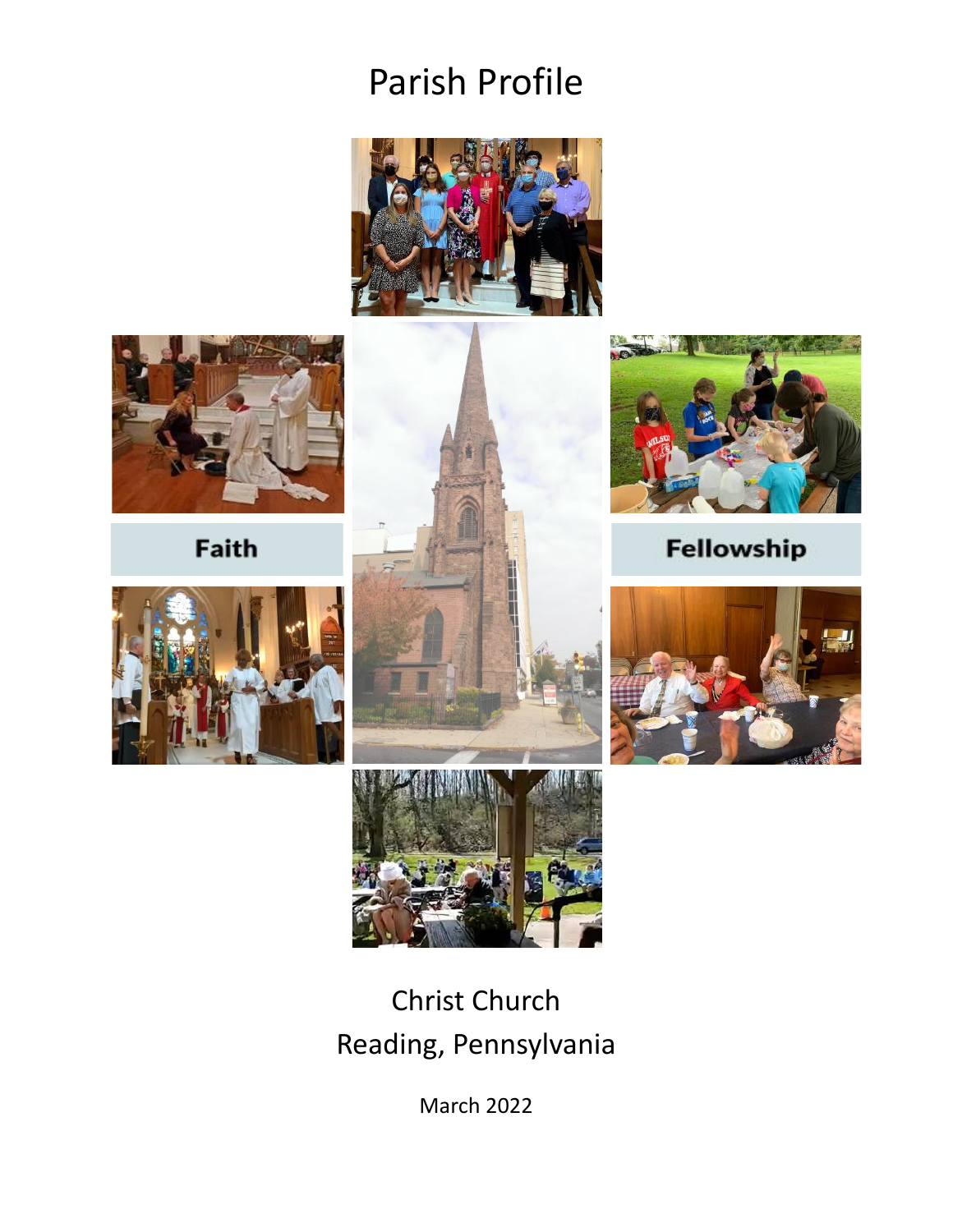# Parish Profile





Faith







Fellowship





# Christ Church Reading, Pennsylvania

March 2022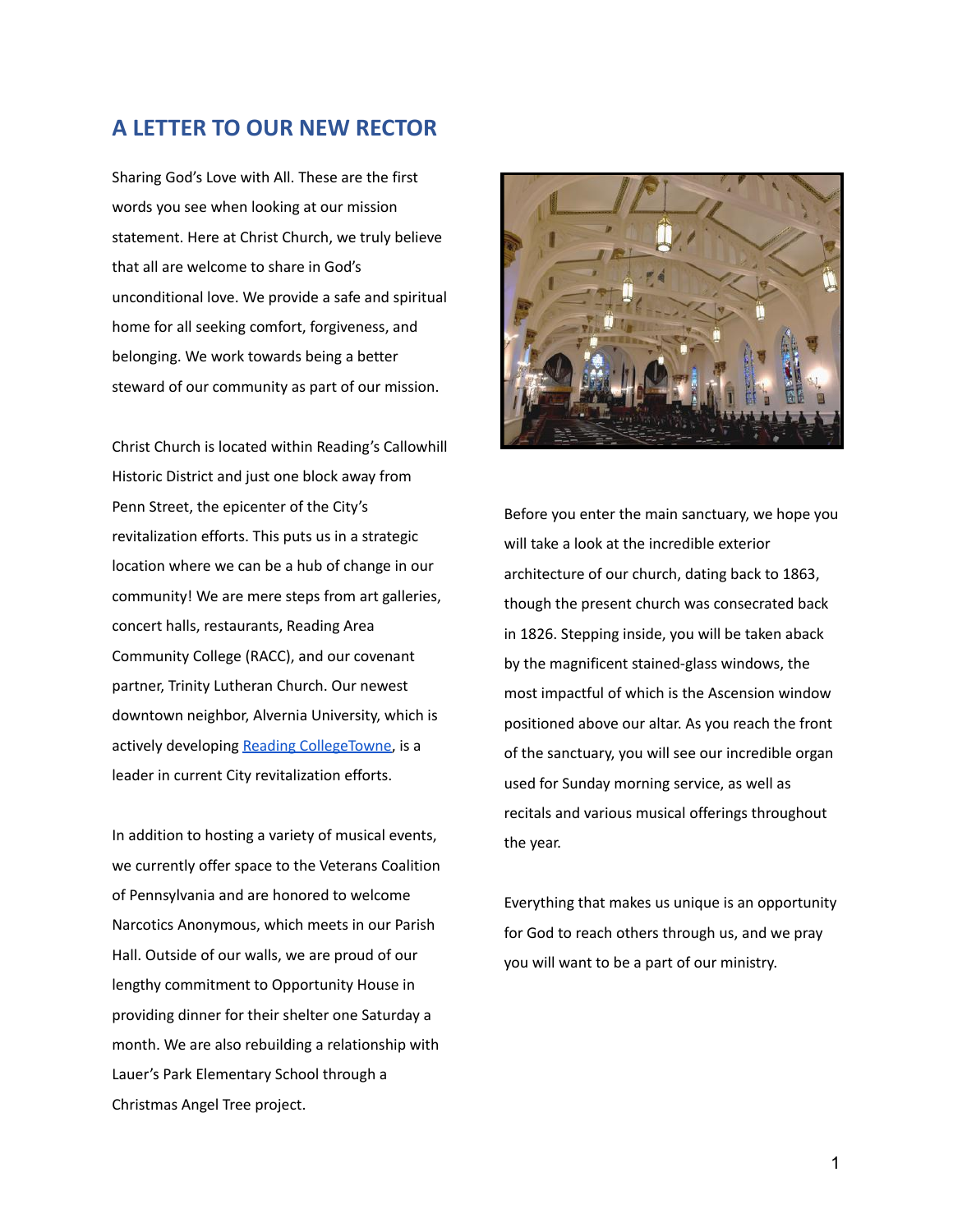#### **A LETTER TO OUR NEW RECTOR**

Sharing God's Love with All. These are the first words you see when looking at our mission statement. Here at Christ Church, we truly believe that all are welcome to share in God's unconditional love. We provide a safe and spiritual home for all seeking comfort, forgiveness, and belonging. We work towards being a better steward of our community as part of our mission.

Christ Church is located within Reading's Callowhill Historic District and just one block away from Penn Street, the epicenter of the City's revitalization efforts. This puts us in a strategic location where we can be a hub of change in our community! We are mere steps from art galleries, concert halls, restaurants, Reading Area Community College (RACC), and our covenant partner, Trinity Lutheran Church. Our newest downtown neighbor, Alvernia University, which is actively developing [Reading CollegeTowne,](https://www.alvernia.edu/about/reading-collegetowne) is a leader in current City revitalization efforts.

In addition to hosting a variety of musical events, we currently offer space to the Veterans Coalition of Pennsylvania and are honored to welcome Narcotics Anonymous, which meets in our Parish Hall. Outside of our walls, we are proud of our lengthy commitment to Opportunity House in providing dinner for their shelter one Saturday a month. We are also rebuilding a relationship with Lauer's Park Elementary School through a Christmas Angel Tree project.



Before you enter the main sanctuary, we hope you will take a look at the incredible exterior architecture of our church, dating back to 1863, though the present church was consecrated back in 1826. Stepping inside, you will be taken aback by the magnificent stained-glass windows, the most impactful of which is the Ascension window positioned above our altar. As you reach the front of the sanctuary, you will see our incredible organ used for Sunday morning service, as well as recitals and various musical offerings throughout the year.

Everything that makes us unique is an opportunity for God to reach others through us, and we pray you will want to be a part of our ministry.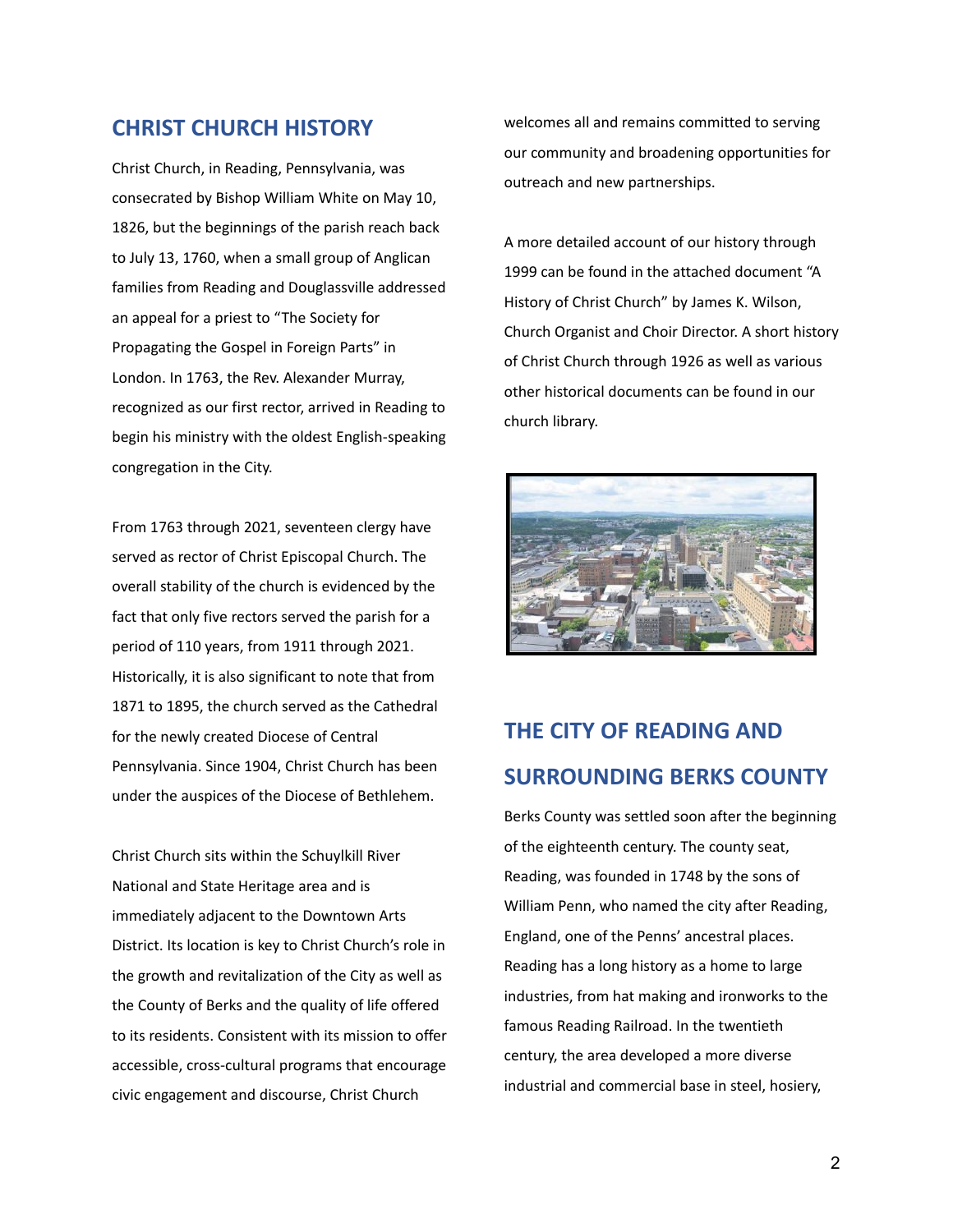#### **CHRIST CHURCH HISTORY**

Christ Church, in Reading, Pennsylvania, was consecrated by Bishop William White on May 10, 1826, but the beginnings of the parish reach back to July 13, 1760, when a small group of Anglican families from Reading and Douglassville addressed an appeal for a priest to "The Society for Propagating the Gospel in Foreign Parts" in London. In 1763, the Rev. Alexander Murray, recognized as our first rector, arrived in Reading to begin his ministry with the oldest English-speaking congregation in the City.

From 1763 through 2021, seventeen clergy have served as rector of Christ Episcopal Church. The overall stability of the church is evidenced by the fact that only five rectors served the parish for a period of 110 years, from 1911 through 2021. Historically, it is also significant to note that from 1871 to 1895, the church served as the Cathedral for the newly created Diocese of Central Pennsylvania. Since 1904, Christ Church has been under the auspices of the Diocese of Bethlehem.

Christ Church sits within the Schuylkill River National and State Heritage area and is immediately adjacent to the Downtown Arts District. Its location is key to Christ Church's role in the growth and revitalization of the City as well as the County of Berks and the quality of life offered to its residents. Consistent with its mission to offer accessible, cross-cultural programs that encourage civic engagement and discourse, Christ Church

welcomes all and remains committed to serving our community and broadening opportunities for outreach and new partnerships.

A more detailed account of our history through 1999 can be found in the attached document "A History of Christ Church" by James K. Wilson, Church Organist and Choir Director. A short history of Christ Church through 1926 as well as various other historical documents can be found in our church library.



# **THE CITY OF READING AND SURROUNDING BERKS COUNTY**

Berks County was settled soon after the beginning of the eighteenth century. The county seat, Reading, was founded in 1748 by the sons of William Penn, who named the city after Reading, England, one of the Penns' ancestral places. Reading has a long history as a home to large industries, from hat making and ironworks to the famous Reading Railroad. In the twentieth century, the area developed a more diverse industrial and commercial base in steel, hosiery,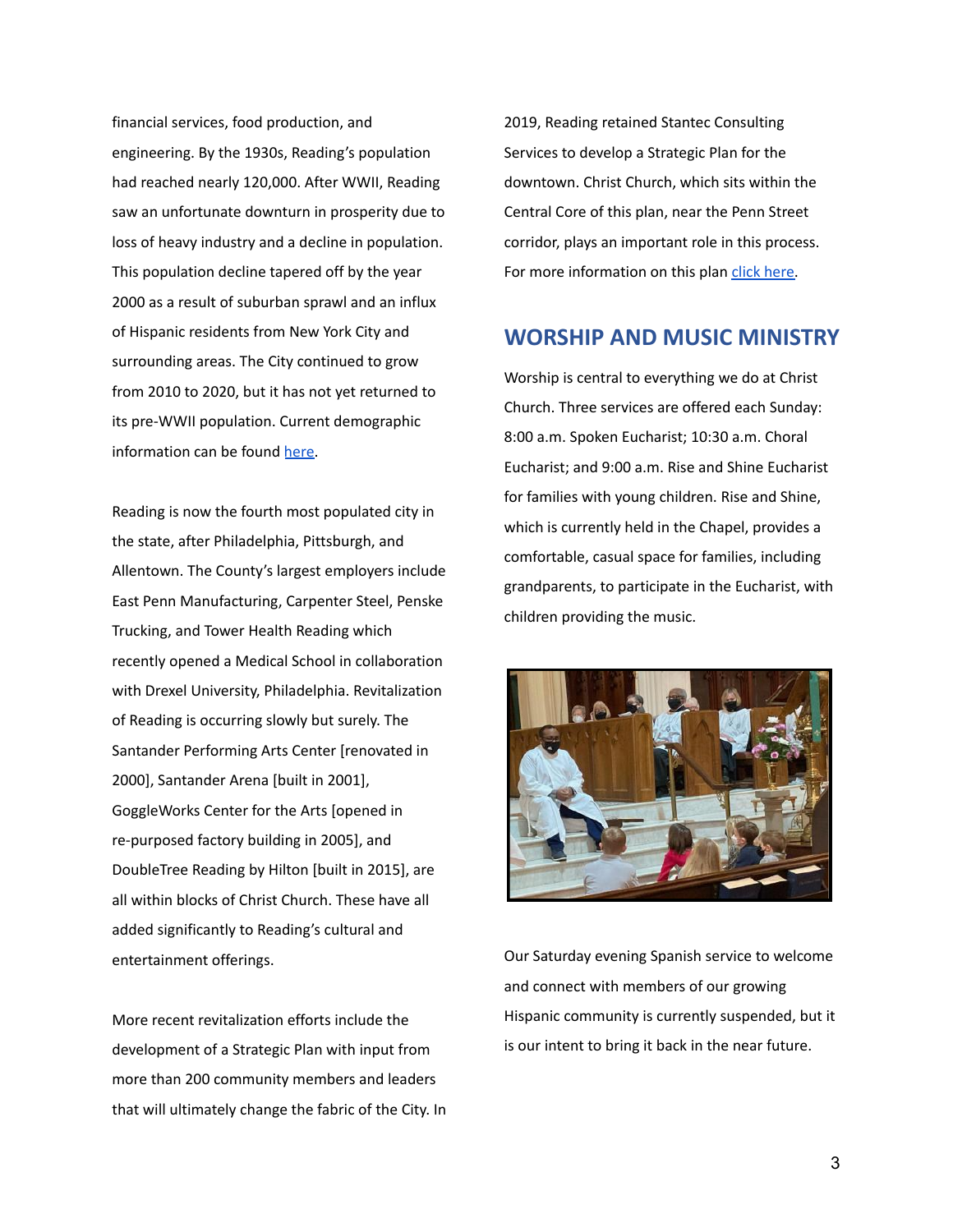financial services, food production, and engineering. By the 1930s, Reading's population had reached nearly 120,000. After WWII, Reading saw an unfortunate downturn in prosperity due to loss of heavy industry and a decline in population. This population decline tapered off by the year 2000 as a result of suburban sprawl and an influx of Hispanic residents from New York City and surrounding areas. The City continued to grow from 2010 to 2020, but it has not yet returned to its pre-WWII population. Current demographic information can be found [here](https://www.census.gov/quickfacts/readingcitypennsylvania).

Reading is now the fourth most populated city in the state, after Philadelphia, Pittsburgh, and Allentown. The County's largest employers include East Penn Manufacturing, Carpenter Steel, Penske Trucking, and Tower Health Reading which recently opened a Medical School in collaboration with Drexel University, Philadelphia. Revitalization of Reading is occurring slowly but surely. The Santander Performing Arts Center [renovated in 2000], Santander Arena [built in 2001], GoggleWorks Center for the Arts [opened in re-purposed factory building in 2005], and DoubleTree Reading by Hilton [built in 2015], are all within blocks of Christ Church. These have all added significantly to Reading's cultural and entertainment offerings.

More recent revitalization efforts include the development of a Strategic Plan with input from more than 200 community members and leaders that will ultimately change the fabric of the City. In 2019, Reading retained Stantec Consulting Services to develop a Strategic Plan for the downtown. Christ Church, which sits within the Central Core of this plan, near the Penn Street corridor, plays an important role in this process. For more information on this plan [click here.](https://www.scribd.com/document/527181993/Stantec-Berks-Community-Forum-237-21-v1-21-Final#download&from_embed)

#### **WORSHIP AND MUSIC MINISTRY**

Worship is central to everything we do at Christ Church. Three services are offered each Sunday: 8:00 a.m. Spoken Eucharist; 10:30 a.m. Choral Eucharist; and 9:00 a.m. Rise and Shine Eucharist for families with young children. Rise and Shine, which is currently held in the Chapel, provides a comfortable, casual space for families, including grandparents, to participate in the Eucharist, with children providing the music.



Our Saturday evening Spanish service to welcome and connect with members of our growing Hispanic community is currently suspended, but it is our intent to bring it back in the near future.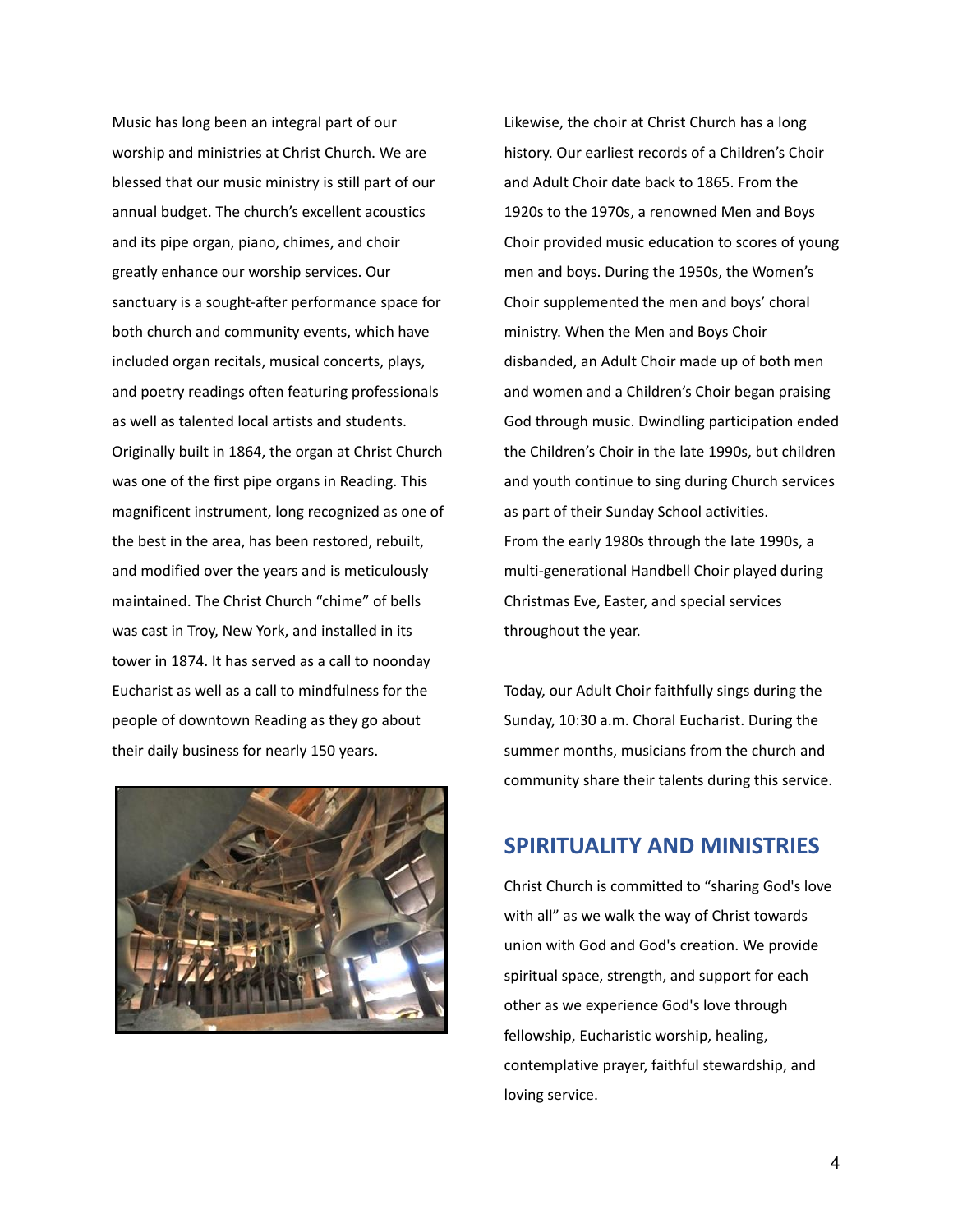Music has long been an integral part of our worship and ministries at Christ Church. We are blessed that our music ministry is still part of our annual budget. The church's excellent acoustics and its pipe organ, piano, chimes, and choir greatly enhance our worship services. Our sanctuary is a sought-after performance space for both church and community events, which have included organ recitals, musical concerts, plays, and poetry readings often featuring professionals as well as talented local artists and students. Originally built in 1864, the organ at Christ Church was one of the first pipe organs in Reading. This magnificent instrument, long recognized as one of the best in the area, has been restored, rebuilt, and modified over the years and is meticulously maintained. The Christ Church "chime" of bells was cast in Troy, New York, and installed in its tower in 1874. It has served as a call to noonday Eucharist as well as a call to mindfulness for the people of downtown Reading as they go about their daily business for nearly 150 years.



Likewise, the choir at Christ Church has a long history. Our earliest records of a Children's Choir and Adult Choir date back to 1865. From the 1920s to the 1970s, a renowned Men and Boys Choir provided music education to scores of young men and boys. During the 1950s, the Women's Choir supplemented the men and boys' choral ministry. When the Men and Boys Choir disbanded, an Adult Choir made up of both men and women and a Children's Choir began praising God through music. Dwindling participation ended the Children's Choir in the late 1990s, but children and youth continue to sing during Church services as part of their Sunday School activities. From the early 1980s through the late 1990s, a multi-generational Handbell Choir played during Christmas Eve, Easter, and special services throughout the year.

Today, our Adult Choir faithfully sings during the Sunday, 10:30 a.m. Choral Eucharist. During the summer months, musicians from the church and community share their talents during this service.

#### **SPIRITUALITY AND MINISTRIES**

Christ Church is committed to "sharing God's love with all" as we walk the way of Christ towards union with God and God's creation. We provide spiritual space, strength, and support for each other as we experience God's love through fellowship, Eucharistic worship, healing, contemplative prayer, faithful stewardship, and loving service.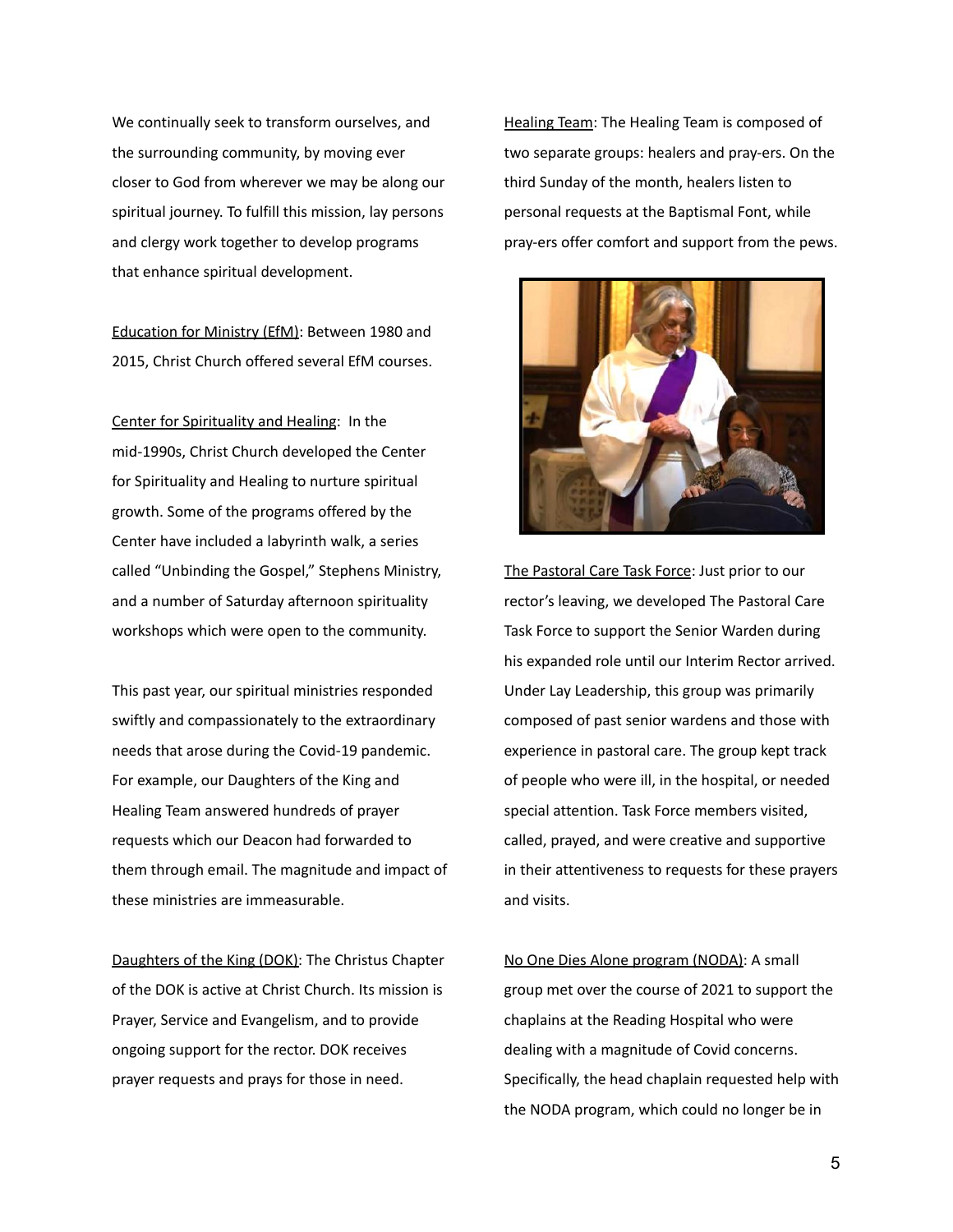We continually seek to transform ourselves, and the surrounding community, by moving ever closer to God from wherever we may be along our spiritual journey. To fulfill this mission, lay persons and clergy work together to develop programs that enhance spiritual development.

Education for Ministry (EfM): Between 1980 and 2015, Christ Church offered several EfM courses.

Center for Spirituality and Healing: In the mid-1990s, Christ Church developed the Center for Spirituality and Healing to nurture spiritual growth. Some of the programs offered by the Center have included a labyrinth walk, a series called "Unbinding the Gospel," Stephens Ministry, and a number of Saturday afternoon spirituality workshops which were open to the community.

This past year, our spiritual ministries responded swiftly and compassionately to the extraordinary needs that arose during the Covid-19 pandemic. For example, our Daughters of the King and Healing Team answered hundreds of prayer requests which our Deacon had forwarded to them through email. The magnitude and impact of these ministries are immeasurable.

Daughters of the King (DOK): The Christus Chapter of the DOK is active at Christ Church. Its mission is Prayer, Service and Evangelism, and to provide ongoing support for the rector. DOK receives prayer requests and prays for those in need.

Healing Team: The Healing Team is composed of two separate groups: healers and pray-ers. On the third Sunday of the month, healers listen to personal requests at the Baptismal Font, while pray-ers offer comfort and support from the pews.



The Pastoral Care Task Force: Just prior to our rector's leaving, we developed The Pastoral Care Task Force to support the Senior Warden during his expanded role until our Interim Rector arrived. Under Lay Leadership, this group was primarily composed of past senior wardens and those with experience in pastoral care. The group kept track of people who were ill, in the hospital, or needed special attention. Task Force members visited, called, prayed, and were creative and supportive in their attentiveness to requests for these prayers and visits.

No One Dies Alone program (NODA): A small group met over the course of 2021 to support the chaplains at the Reading Hospital who were dealing with a magnitude of Covid concerns. Specifically, the head chaplain requested help with the NODA program, which could no longer be in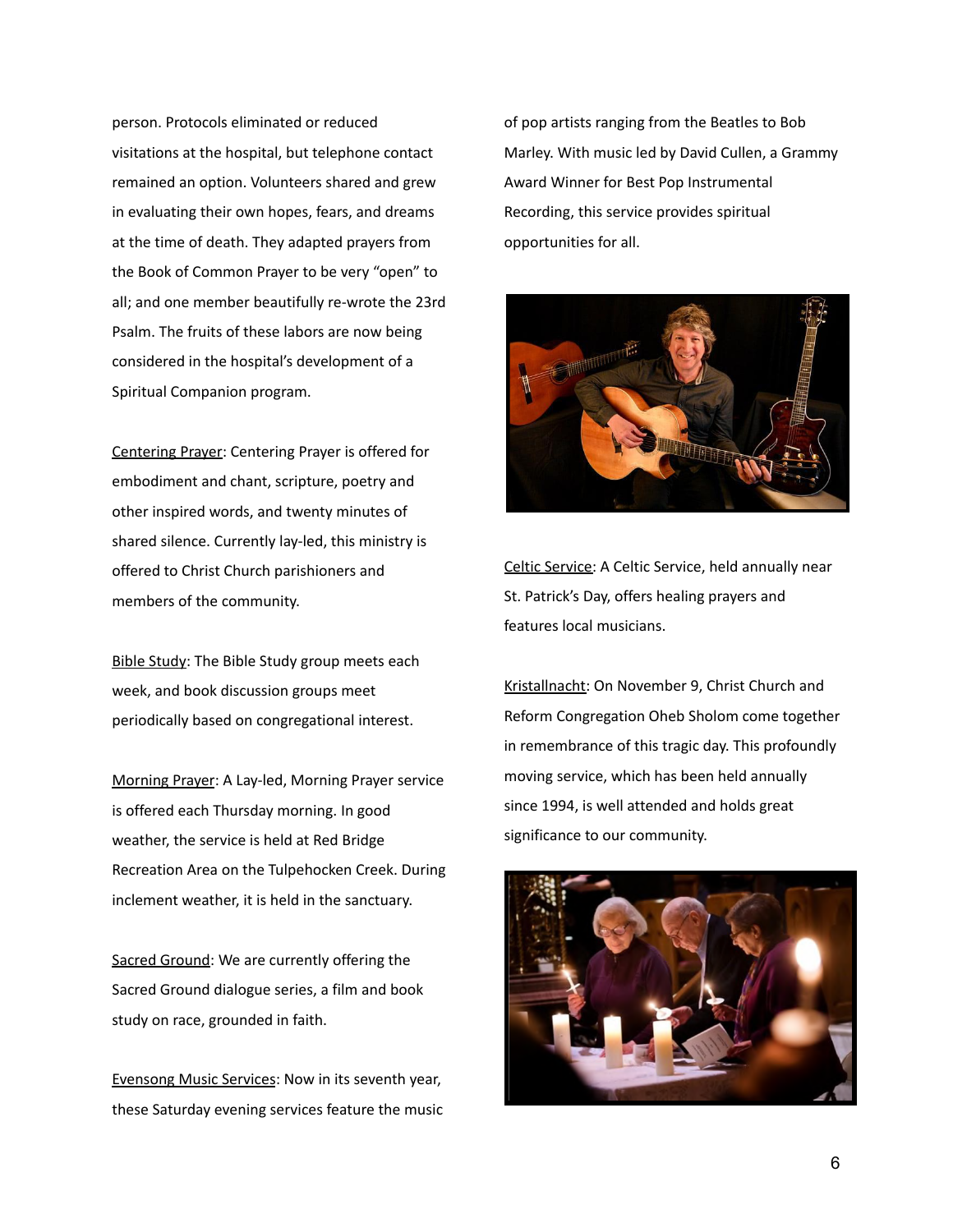person. Protocols eliminated or reduced visitations at the hospital, but telephone contact remained an option. Volunteers shared and grew in evaluating their own hopes, fears, and dreams at the time of death. They adapted prayers from the Book of Common Prayer to be very "open" to all; and one member beautifully re-wrote the 23rd Psalm. The fruits of these labors are now being considered in the hospital's development of a Spiritual Companion program.

Centering Prayer: Centering Prayer is offered for embodiment and chant, scripture, poetry and other inspired words, and twenty minutes of shared silence. Currently lay-led, this ministry is offered to Christ Church parishioners and members of the community.

Bible Study: The Bible Study group meets each week, and book discussion groups meet periodically based on congregational interest.

Morning Prayer: A Lay-led, Morning Prayer service is offered each Thursday morning. In good weather, the service is held at Red Bridge Recreation Area on the Tulpehocken Creek. During inclement weather, it is held in the sanctuary.

Sacred Ground: We are currently offering the Sacred Ground dialogue series, a film and book study on race, grounded in faith.

Evensong Music Services: Now in its seventh year, these Saturday evening services feature the music of pop artists ranging from the Beatles to Bob Marley. With music led by David Cullen, a Grammy Award Winner for Best Pop Instrumental Recording, this service provides spiritual opportunities for all.



Celtic Service: A Celtic Service, held annually near St. Patrick's Day, offers healing prayers and features local musicians.

Kristallnacht: On November 9, Christ Church and Reform Congregation Oheb Sholom come together in remembrance of this tragic day. This profoundly moving service, which has been held annually since 1994, is well attended and holds great significance to our community.

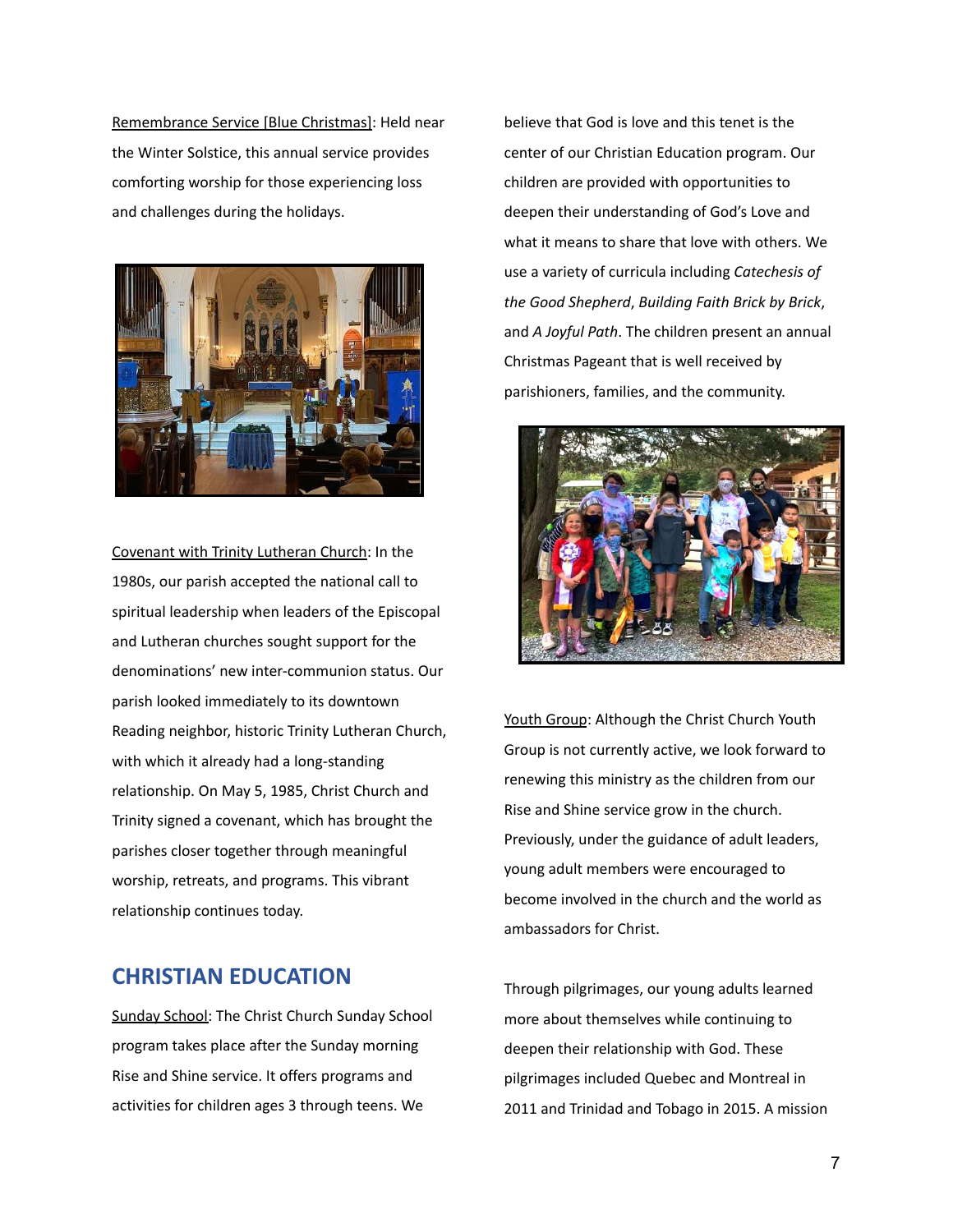Remembrance Service [Blue Christmas]: Held near the Winter Solstice, this annual service provides comforting worship for those experiencing loss and challenges during the holidays.



Covenant with Trinity Lutheran Church: In the 1980s, our parish accepted the national call to spiritual leadership when leaders of the Episcopal and Lutheran churches sought support for the denominations' new inter-communion status. Our parish looked immediately to its downtown Reading neighbor, historic Trinity Lutheran Church, with which it already had a long-standing relationship. On May 5, 1985, Christ Church and Trinity signed a covenant, which has brought the parishes closer together through meaningful worship, retreats, and programs. This vibrant relationship continues today.

#### **CHRISTIAN EDUCATION**

Sunday School: The Christ Church Sunday School program takes place after the Sunday morning Rise and Shine service. It offers programs and activities for children ages 3 through teens. We

believe that God is love and this tenet is the center of our Christian Education program. Our children are provided with opportunities to deepen their understanding of God's Love and what it means to share that love with others. We use a variety of curricula including *Catechesis of the Good Shepherd*, *Building Faith Brick by Brick*, and *A Joyful Path*. The children present an annual Christmas Pageant that is well received by parishioners, families, and the community.



Youth Group: Although the Christ Church Youth Group is not currently active, we look forward to renewing this ministry as the children from our Rise and Shine service grow in the church. Previously, under the guidance of adult leaders, young adult members were encouraged to become involved in the church and the world as ambassadors for Christ.

Through pilgrimages, our young adults learned more about themselves while continuing to deepen their relationship with God. These pilgrimages included Quebec and Montreal in 2011 and Trinidad and Tobago in 2015. A mission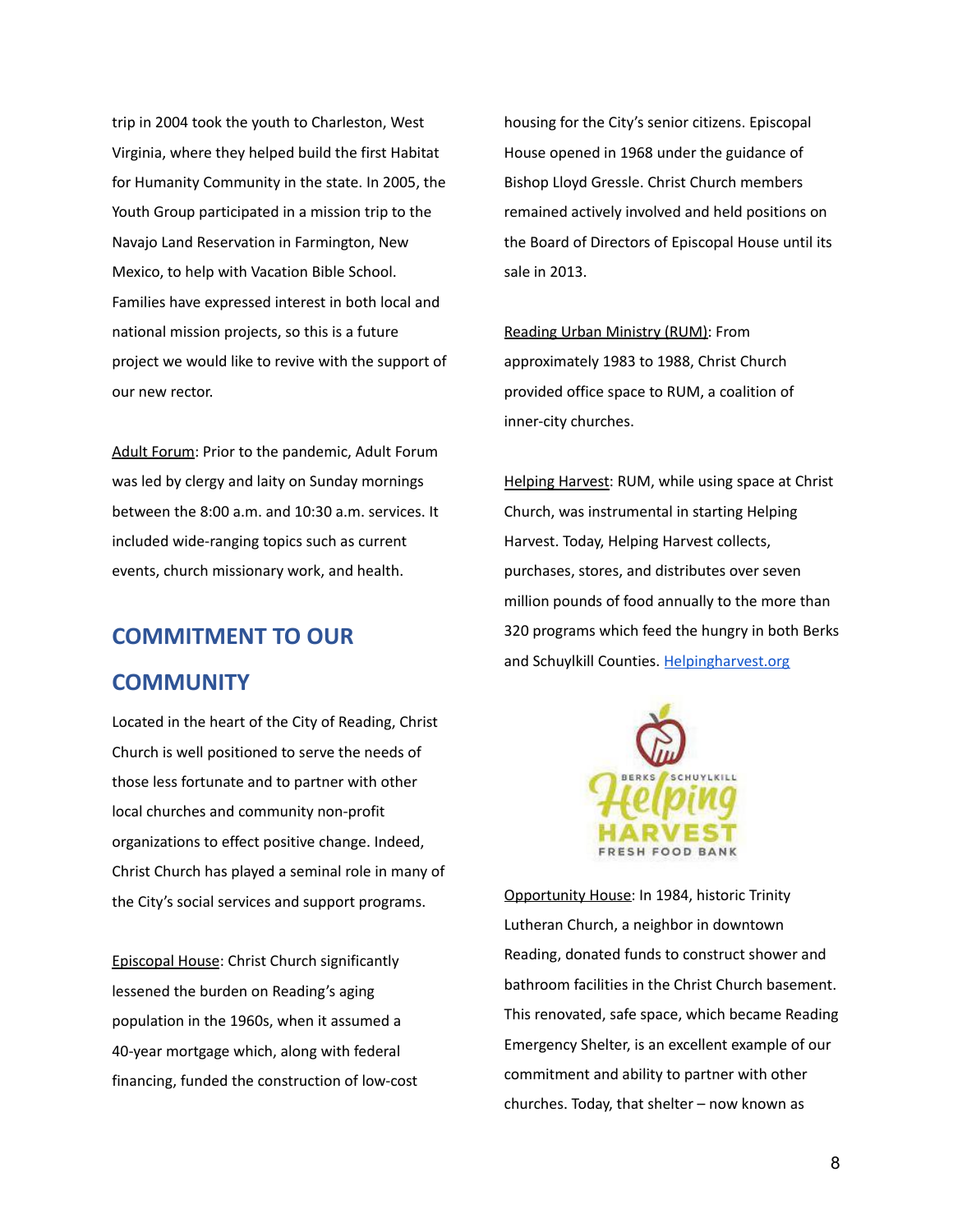trip in 2004 took the youth to Charleston, West Virginia, where they helped build the first Habitat for Humanity Community in the state. In 2005, the Youth Group participated in a mission trip to the Navajo Land Reservation in Farmington, New Mexico, to help with Vacation Bible School. Families have expressed interest in both local and national mission projects, so this is a future project we would like to revive with the support of our new rector.

Adult Forum: Prior to the pandemic, Adult Forum was led by clergy and laity on Sunday mornings between the 8:00 a.m. and 10:30 a.m. services. It included wide-ranging topics such as current events, church missionary work, and health.

### **COMMITMENT TO OUR**

#### **COMMUNITY**

Located in the heart of the City of Reading, Christ Church is well positioned to serve the needs of those less fortunate and to partner with other local churches and community non-profit organizations to effect positive change. Indeed, Christ Church has played a seminal role in many of the City's social services and support programs.

Episcopal House: Christ Church significantly lessened the burden on Reading's aging population in the 1960s, when it assumed a 40-year mortgage which, along with federal financing, funded the construction of low-cost housing for the City's senior citizens. Episcopal House opened in 1968 under the guidance of Bishop Lloyd Gressle. Christ Church members remained actively involved and held positions on the Board of Directors of Episcopal House until its sale in 2013.

Reading Urban Ministry (RUM): From approximately 1983 to 1988, Christ Church provided office space to RUM, a coalition of inner-city churches.

Helping Harvest: RUM, while using space at Christ Church, was instrumental in starting Helping Harvest. Today, Helping Harvest collects, purchases, stores, and distributes over seven million pounds of food annually to the more than 320 programs which feed the hungry in both Berks and Schuylkill Counties. [Helpingharvest.org](https://helpingharvest.org/)



Opportunity House: In 1984, historic Trinity Lutheran Church, a neighbor in downtown Reading, donated funds to construct shower and bathroom facilities in the Christ Church basement. This renovated, safe space, which became Reading Emergency Shelter, is an excellent example of our commitment and ability to partner with other churches. Today, that shelter – now known as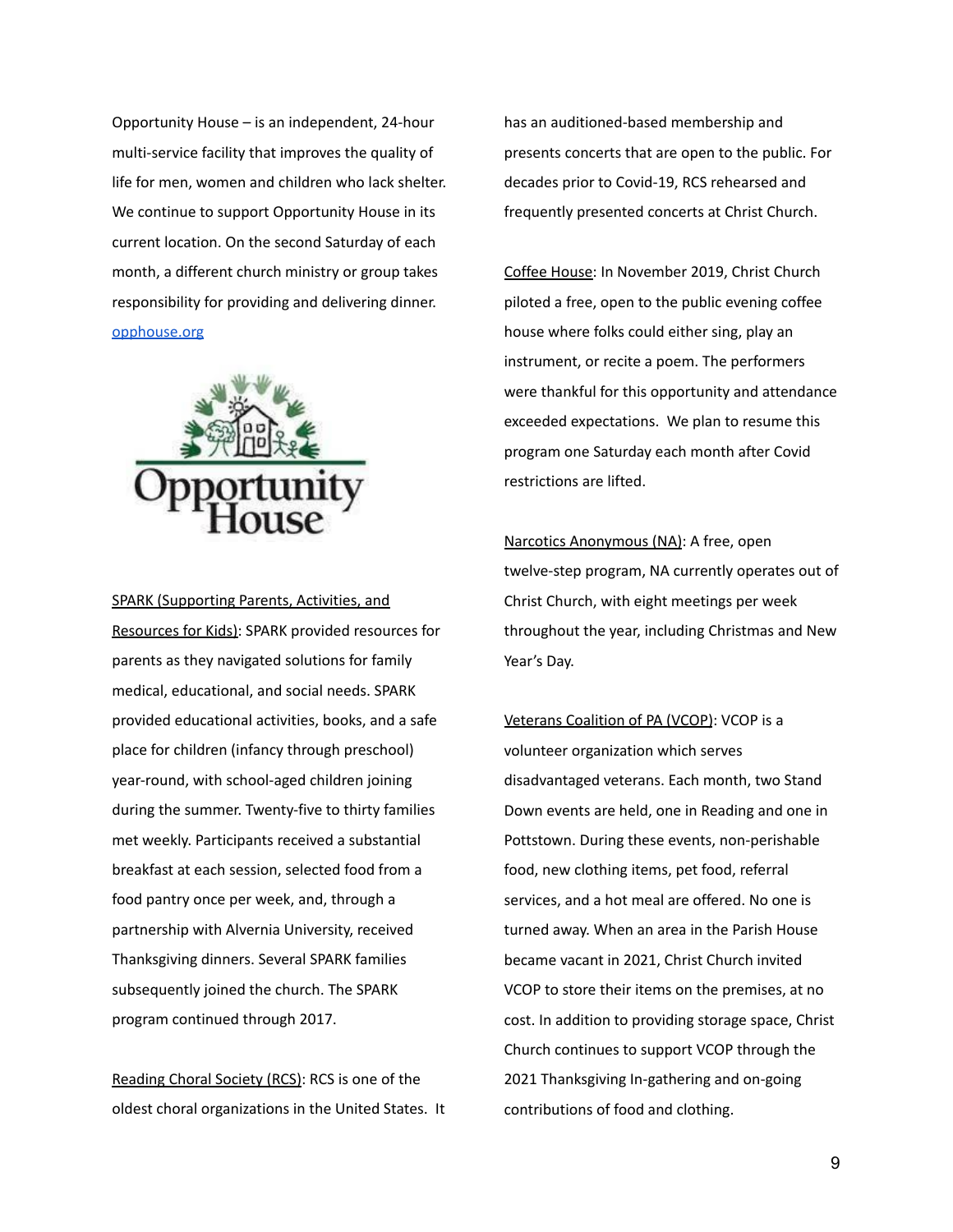Opportunity House – is an independent, 24-hour multi-service facility that improves the quality of life for men, women and children who lack shelter. We continue to support Opportunity House in its current location. On the second Saturday of each month, a different church ministry or group takes responsibility for providing and delivering dinner. [opphouse.org](https://opphouse.org/)



SPARK (Supporting Parents, Activities, and Resources for Kids): SPARK provided resources for parents as they navigated solutions for family medical, educational, and social needs. SPARK provided educational activities, books, and a safe place for children (infancy through preschool) year-round, with school-aged children joining during the summer. Twenty-five to thirty families met weekly. Participants received a substantial breakfast at each session, selected food from a food pantry once per week, and, through a partnership with Alvernia University, received Thanksgiving dinners. Several SPARK families subsequently joined the church. The SPARK program continued through 2017.

Reading Choral Society (RCS): RCS is one of the oldest choral organizations in the United States. It has an auditioned-based membership and presents concerts that are open to the public. For decades prior to Covid-19, RCS rehearsed and frequently presented concerts at Christ Church.

Coffee House: In November 2019, Christ Church piloted a free, open to the public evening coffee house where folks could either sing, play an instrument, or recite a poem. The performers were thankful for this opportunity and attendance exceeded expectations. We plan to resume this program one Saturday each month after Covid restrictions are lifted.

Narcotics Anonymous (NA): A free, open twelve-step program, NA currently operates out of Christ Church, with eight meetings per week throughout the year, including Christmas and New Year's Day.

Veterans Coalition of PA (VCOP): VCOP is a volunteer organization which serves disadvantaged veterans. Each month, two Stand Down events are held, one in Reading and one in Pottstown. During these events, non-perishable food, new clothing items, pet food, referral services, and a hot meal are offered. No one is turned away. When an area in the Parish House became vacant in 2021, Christ Church invited VCOP to store their items on the premises, at no cost. In addition to providing storage space, Christ Church continues to support VCOP through the 2021 Thanksgiving In-gathering and on-going contributions of food and clothing.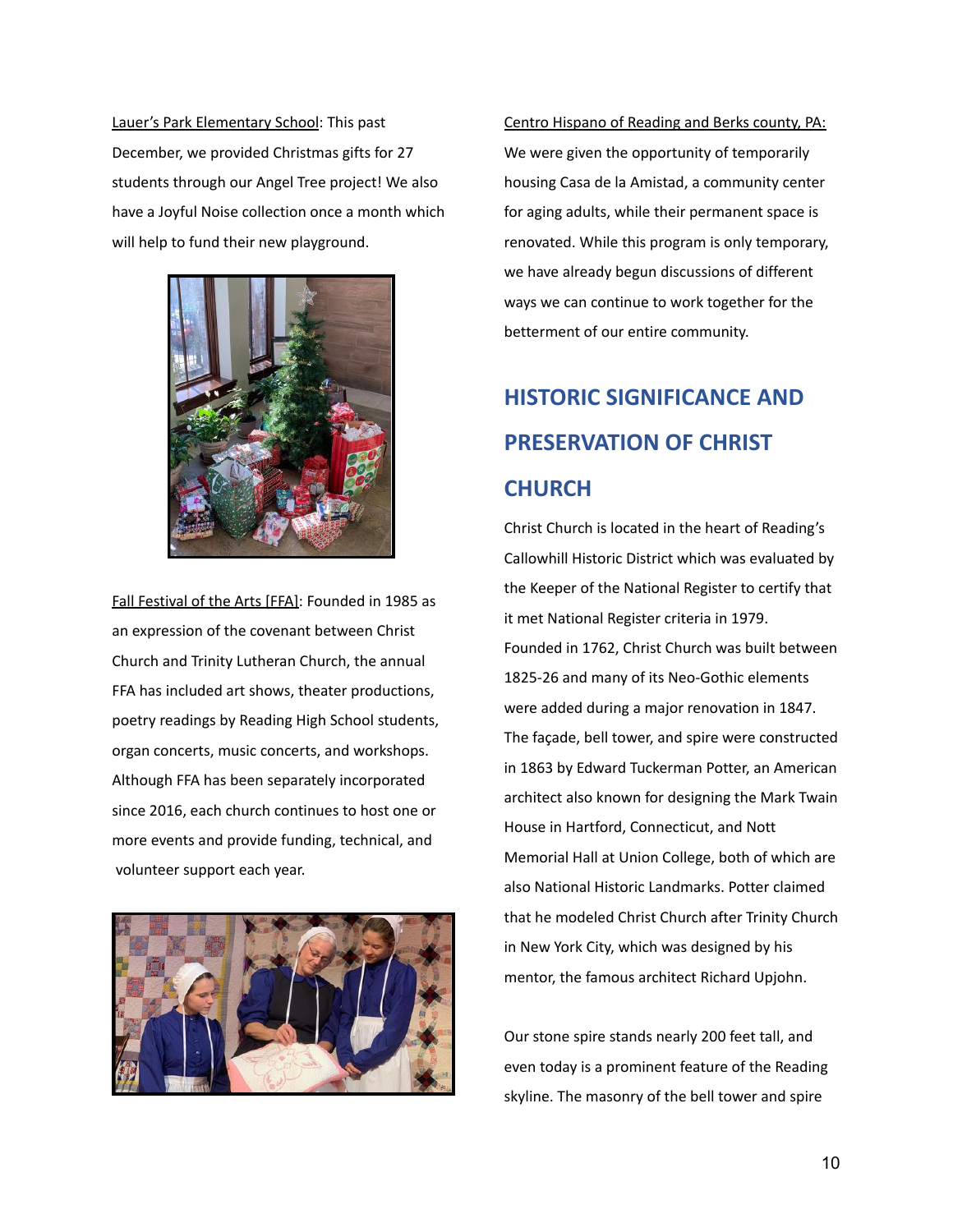Lauer's Park Elementary School: This past December, we provided Christmas gifts for 27 students through our Angel Tree project! We also have a Joyful Noise collection once a month which will help to fund their new playground.



Fall Festival of the Arts [FFA]: Founded in 1985 as an expression of the covenant between Christ Church and Trinity Lutheran Church, the annual FFA has included art shows, theater productions, poetry readings by Reading High School students, organ concerts, music concerts, and workshops. Although FFA has been separately incorporated since 2016, each church continues to host one or more events and provide funding, technical, and volunteer support each year.



Centro Hispano of Reading and Berks county, PA: We were given the opportunity of temporarily housing Casa de la Amistad, a community center for aging adults, while their permanent space is renovated. While this program is only temporary, we have already begun discussions of different ways we can continue to work together for the betterment of our entire community.

# **HISTORIC SIGNIFICANCE AND PRESERVATION OF CHRIST CHURCH**

Christ Church is located in the heart of Reading's Callowhill Historic District which was evaluated by the Keeper of the National Register to certify that it met National Register criteria in 1979. Founded in 1762, Christ Church was built between 1825-26 and many of its Neo-Gothic elements were added during a major renovation in 1847. The façade, bell tower, and spire were constructed in 1863 by Edward Tuckerman Potter, an American architect also known for designing the Mark Twain House in Hartford, Connecticut, and Nott Memorial Hall at Union College, both of which are also National Historic Landmarks. Potter claimed that he modeled Christ Church after Trinity Church in New York City, which was designed by his mentor, the famous architect Richard Upjohn.

Our stone spire stands nearly 200 feet tall, and even today is a prominent feature of the Reading skyline. The masonry of the bell tower and spire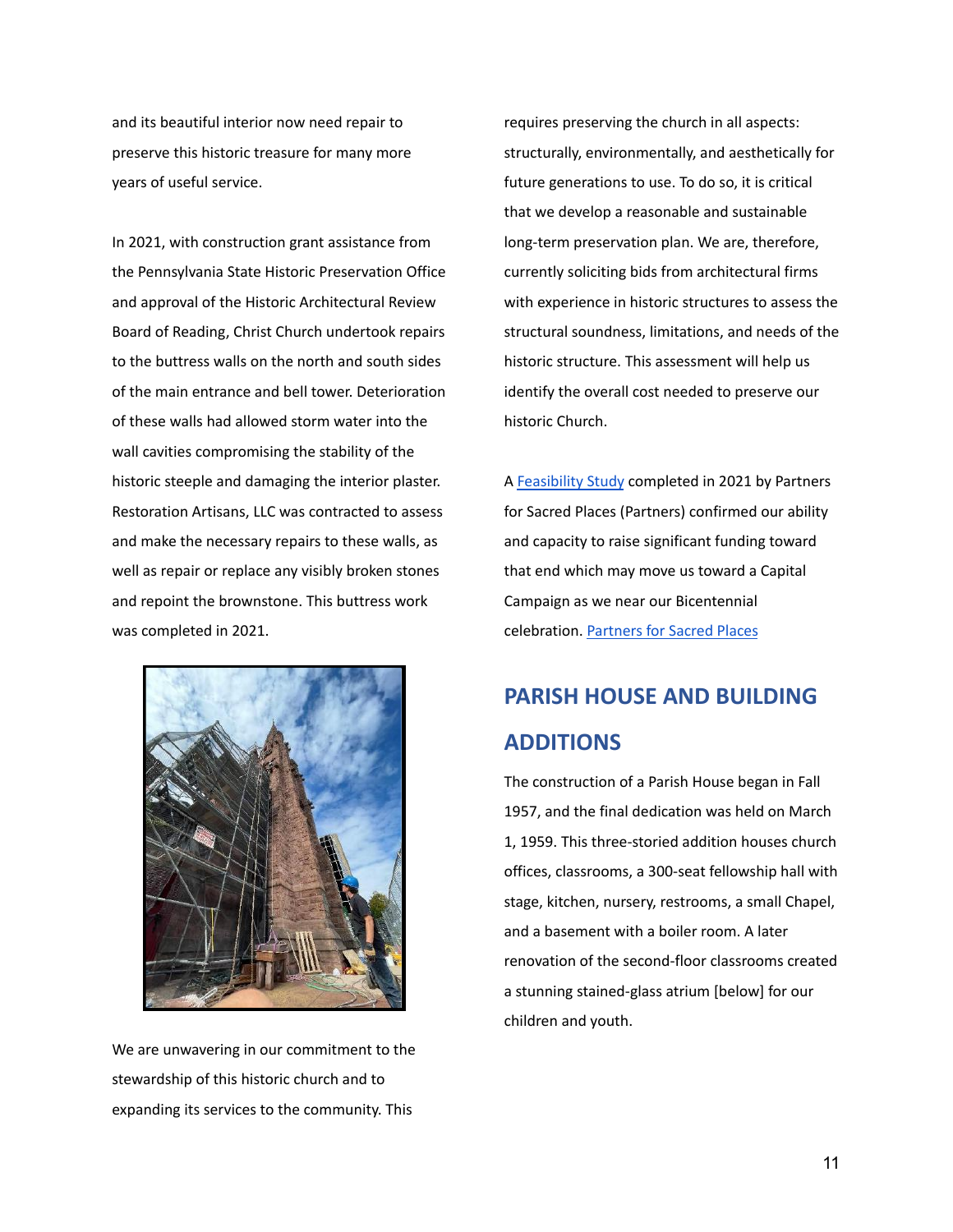and its beautiful interior now need repair to preserve this historic treasure for many more years of useful service.

In 2021, with construction grant assistance from the Pennsylvania State Historic Preservation Office and approval of the Historic Architectural Review Board of Reading, Christ Church undertook repairs to the buttress walls on the north and south sides of the main entrance and bell tower. Deterioration of these walls had allowed storm water into the wall cavities compromising the stability of the historic steeple and damaging the interior plaster. Restoration Artisans, LLC was contracted to assess and make the necessary repairs to these walls, as well as repair or replace any visibly broken stones and repoint the brownstone. This buttress work was completed in 2021.



We are unwavering in our commitment to the stewardship of this historic church and to expanding its services to the community. This

requires preserving the church in all aspects: structurally, environmentally, and aesthetically for future generations to use. To do so, it is critical that we develop a reasonable and sustainable long-term preservation plan. We are, therefore, currently soliciting bids from architectural firms with experience in historic structures to assess the structural soundness, limitations, and needs of the historic structure. This assessment will help us identify the overall cost needed to preserve our historic Church.

A [Feasibility Study](https://drive.google.com/file/d/1JuAV9dVaU5Fa0o9rygJjybzQPawc5gwc/view?usp=sharing) completed in 2021 by Partners for Sacred Places (Partners) confirmed our ability and capacity to raise significant funding toward that end which may move us toward a Capital Campaign as we near our Bicentennial celebration. [Partners for Sacred Places](https://sacredplaces.org/)

# **PARISH HOUSE AND BUILDING ADDITIONS**

The construction of a Parish House began in Fall 1957, and the final dedication was held on March 1, 1959. This three-storied addition houses church offices, classrooms, a 300-seat fellowship hall with stage, kitchen, nursery, restrooms, a small Chapel, and a basement with a boiler room. A later renovation of the second-floor classrooms created a stunning stained-glass atrium [below] for our children and youth.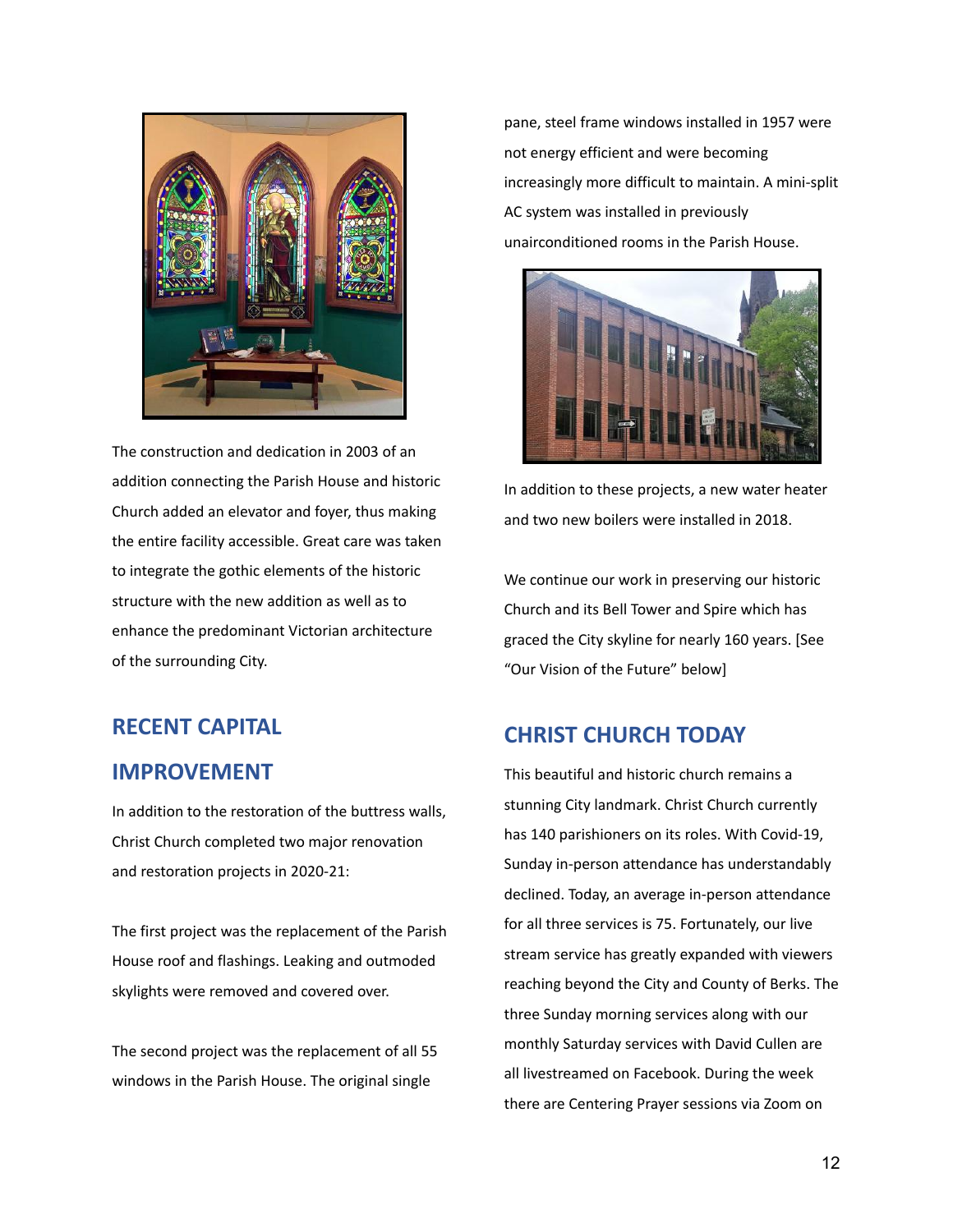

The construction and dedication in 2003 of an addition connecting the Parish House and historic Church added an elevator and foyer, thus making the entire facility accessible. Great care was taken to integrate the gothic elements of the historic structure with the new addition as well as to enhance the predominant Victorian architecture of the surrounding City.

### **RECENT CAPITAL**

### **IMPROVEMENT**

In addition to the restoration of the buttress walls, Christ Church completed two major renovation and restoration projects in 2020-21:

The first project was the replacement of the Parish House roof and flashings. Leaking and outmoded skylights were removed and covered over.

The second project was the replacement of all 55 windows in the Parish House. The original single

pane, steel frame windows installed in 1957 were not energy efficient and were becoming increasingly more difficult to maintain. A mini-split AC system was installed in previously unairconditioned rooms in the Parish House.



In addition to these projects, a new water heater and two new boilers were installed in 2018.

We continue our work in preserving our historic Church and its Bell Tower and Spire which has graced the City skyline for nearly 160 years. [See "Our Vision of the Future" below]

#### **CHRIST CHURCH TODAY**

This beautiful and historic church remains a stunning City landmark. Christ Church currently has 140 parishioners on its roles. With Covid-19, Sunday in-person attendance has understandably declined. Today, an average in-person attendance for all three services is 75. Fortunately, our live stream service has greatly expanded with viewers reaching beyond the City and County of Berks. The three Sunday morning services along with our monthly Saturday services with David Cullen are all livestreamed on Facebook. During the week there are Centering Prayer sessions via Zoom on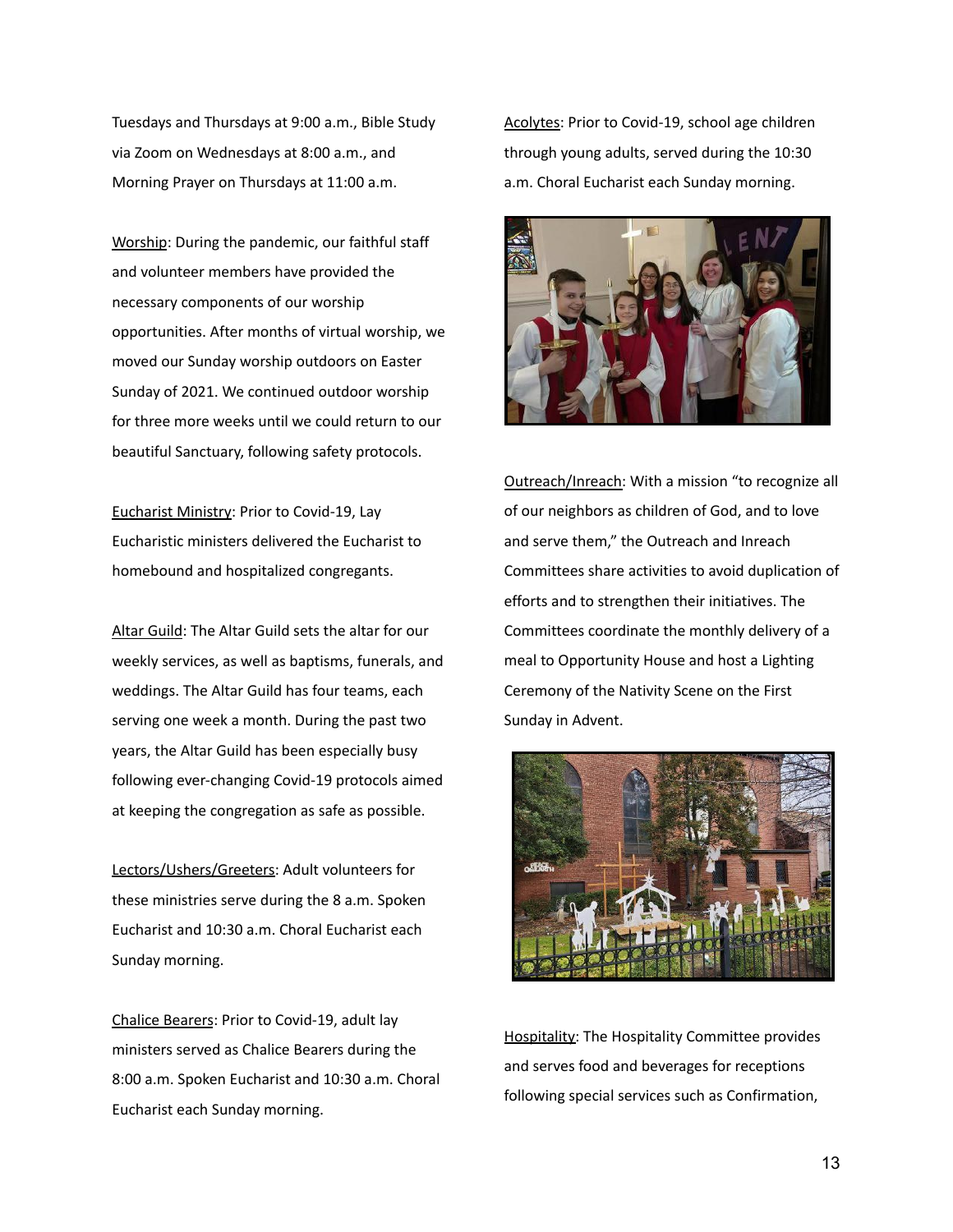Tuesdays and Thursdays at 9:00 a.m., Bible Study via Zoom on Wednesdays at 8:00 a.m., and Morning Prayer on Thursdays at 11:00 a.m.

Worship: During the pandemic, our faithful staff and volunteer members have provided the necessary components of our worship opportunities. After months of virtual worship, we moved our Sunday worship outdoors on Easter Sunday of 2021. We continued outdoor worship for three more weeks until we could return to our beautiful Sanctuary, following safety protocols.

Eucharist Ministry: Prior to Covid-19, Lay Eucharistic ministers delivered the Eucharist to homebound and hospitalized congregants.

Altar Guild: The Altar Guild sets the altar for our weekly services, as well as baptisms, funerals, and weddings. The Altar Guild has four teams, each serving one week a month. During the past two years, the Altar Guild has been especially busy following ever-changing Covid-19 protocols aimed at keeping the congregation as safe as possible.

Lectors/Ushers/Greeters: Adult volunteers for these ministries serve during the 8 a.m. Spoken Eucharist and 10:30 a.m. Choral Eucharist each Sunday morning.

Chalice Bearers: Prior to Covid-19, adult lay ministers served as Chalice Bearers during the 8:00 a.m. Spoken Eucharist and 10:30 a.m. Choral Eucharist each Sunday morning.

Acolytes: Prior to Covid-19, school age children through young adults, served during the 10:30 a.m. Choral Eucharist each Sunday morning.



Outreach/Inreach: With a mission "to recognize all of our neighbors as children of God, and to love and serve them," the Outreach and Inreach Committees share activities to avoid duplication of efforts and to strengthen their initiatives. The Committees coordinate the monthly delivery of a meal to Opportunity House and host a Lighting Ceremony of the Nativity Scene on the First Sunday in Advent.



Hospitality: The Hospitality Committee provides and serves food and beverages for receptions following special services such as Confirmation,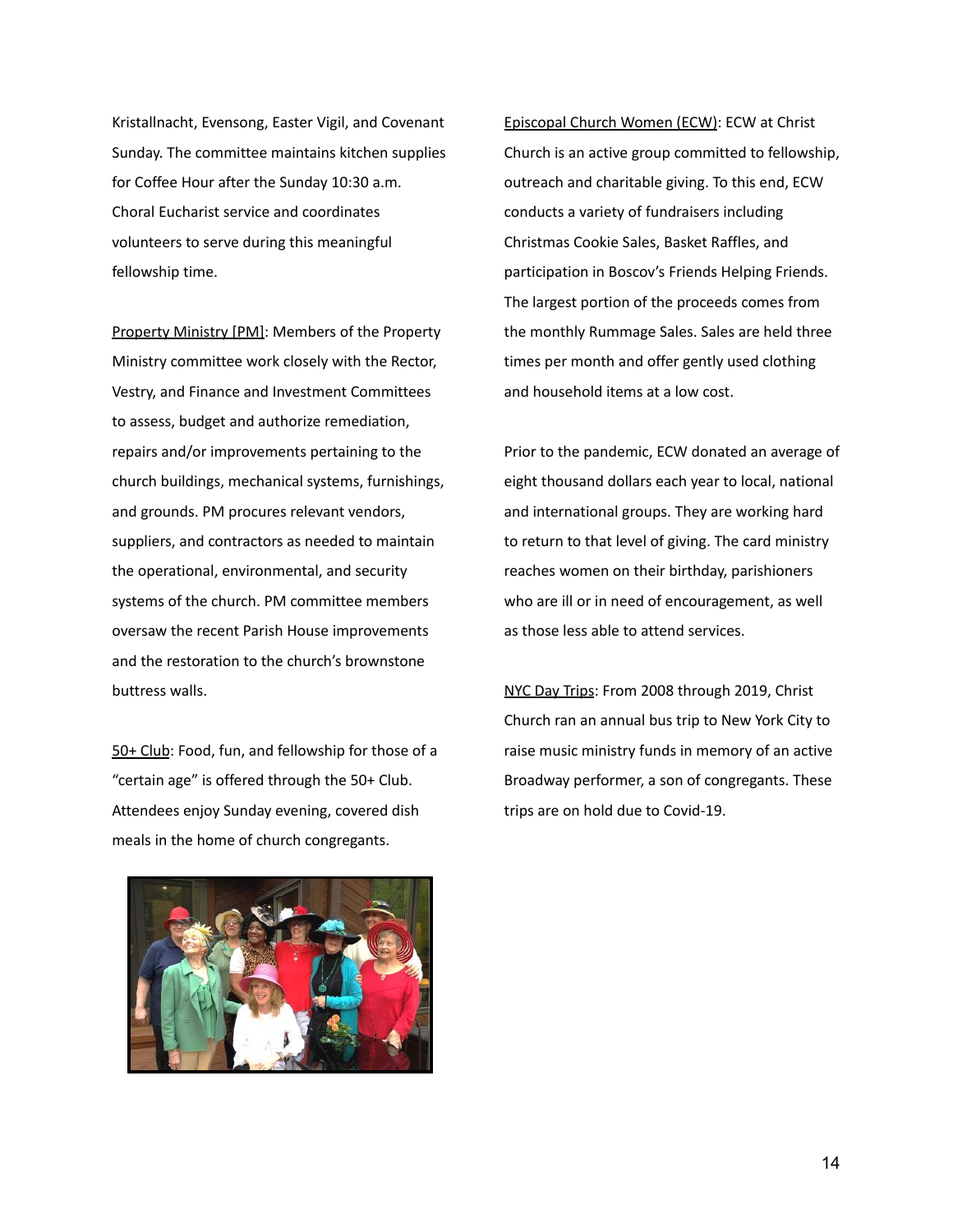Kristallnacht, Evensong, Easter Vigil, and Covenant Sunday. The committee maintains kitchen supplies for Coffee Hour after the Sunday 10:30 a.m. Choral Eucharist service and coordinates volunteers to serve during this meaningful fellowship time.

Property Ministry [PM]: Members of the Property Ministry committee work closely with the Rector, Vestry, and Finance and Investment Committees to assess, budget and authorize remediation, repairs and/or improvements pertaining to the church buildings, mechanical systems, furnishings, and grounds. PM procures relevant vendors, suppliers, and contractors as needed to maintain the operational, environmental, and security systems of the church. PM committee members oversaw the recent Parish House improvements and the restoration to the church's brownstone buttress walls.

50+ Club: Food, fun, and fellowship for those of a "certain age" is offered through the 50+ Club. Attendees enjoy Sunday evening, covered dish meals in the home of church congregants.



Prior to the pandemic, ECW donated an average of eight thousand dollars each year to local, national and international groups. They are working hard to return to that level of giving. The card ministry reaches women on their birthday, parishioners who are ill or in need of encouragement, as well as those less able to attend services.

NYC Day Trips: From 2008 through 2019, Christ Church ran an annual bus trip to New York City to raise music ministry funds in memory of an active Broadway performer, a son of congregants. These trips are on hold due to Covid-19.

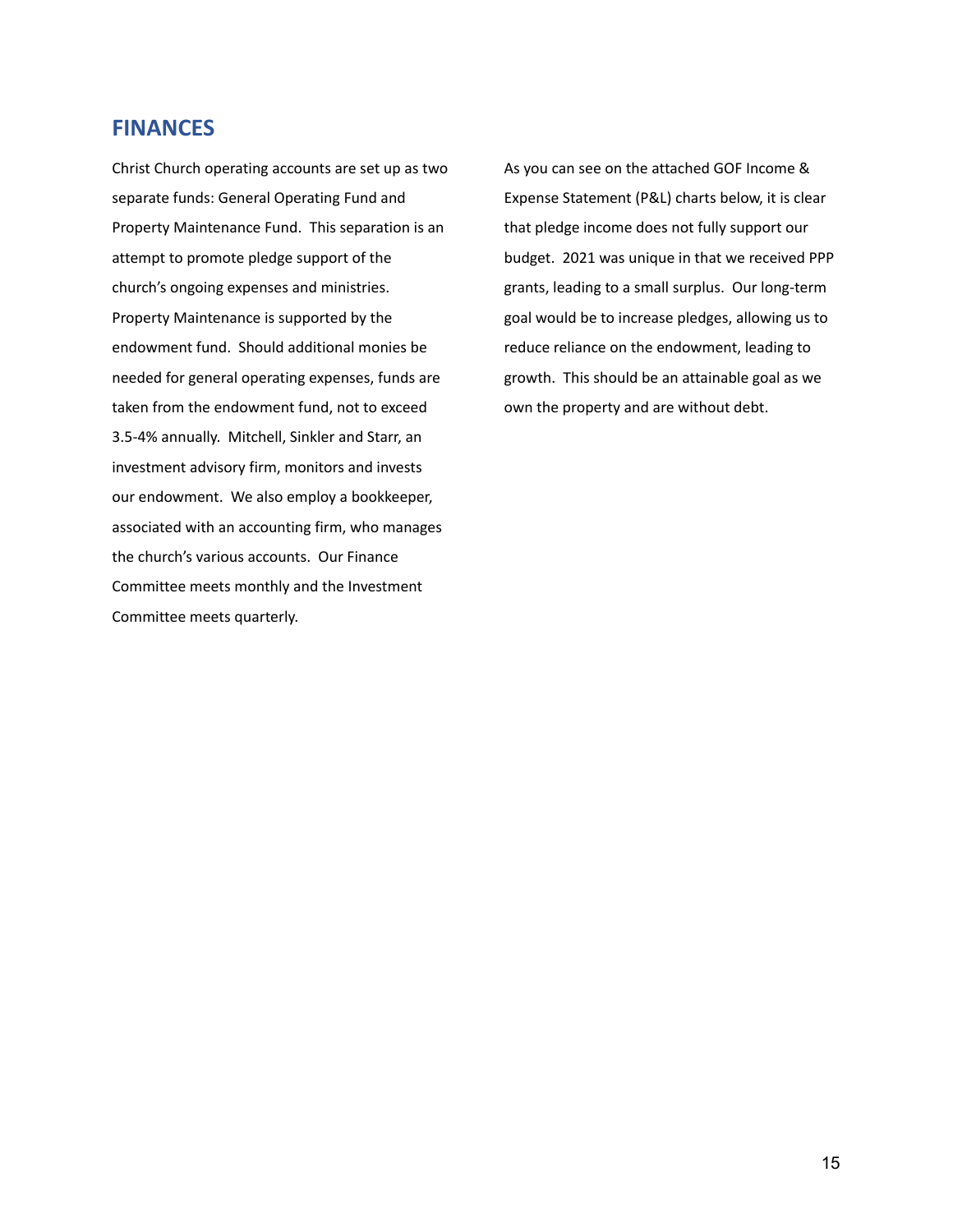#### **FINANCES**

Christ Church operating accounts are set up as two separate funds: General Operating Fund and Property Maintenance Fund. This separation is an attempt to promote pledge support of the church's ongoing expenses and ministries. Property Maintenance is supported by the endowment fund. Should additional monies be needed for general operating expenses, funds are taken from the endowment fund, not to exceed 3.5-4% annually. Mitchell, Sinkler and Starr, an investment advisory firm, monitors and invests our endowment. We also employ a bookkeeper, associated with an accounting firm, who manages the church's various accounts. Our Finance Committee meets monthly and the Investment Committee meets quarterly.

As you can see on the attached GOF Income & Expense Statement (P&L) charts below, it is clear that pledge income does not fully support our budget. 2021 was unique in that we received PPP grants, leading to a small surplus. Our long-term goal would be to increase pledges, allowing us to reduce reliance on the endowment, leading to growth. This should be an attainable goal as we own the property and are without debt.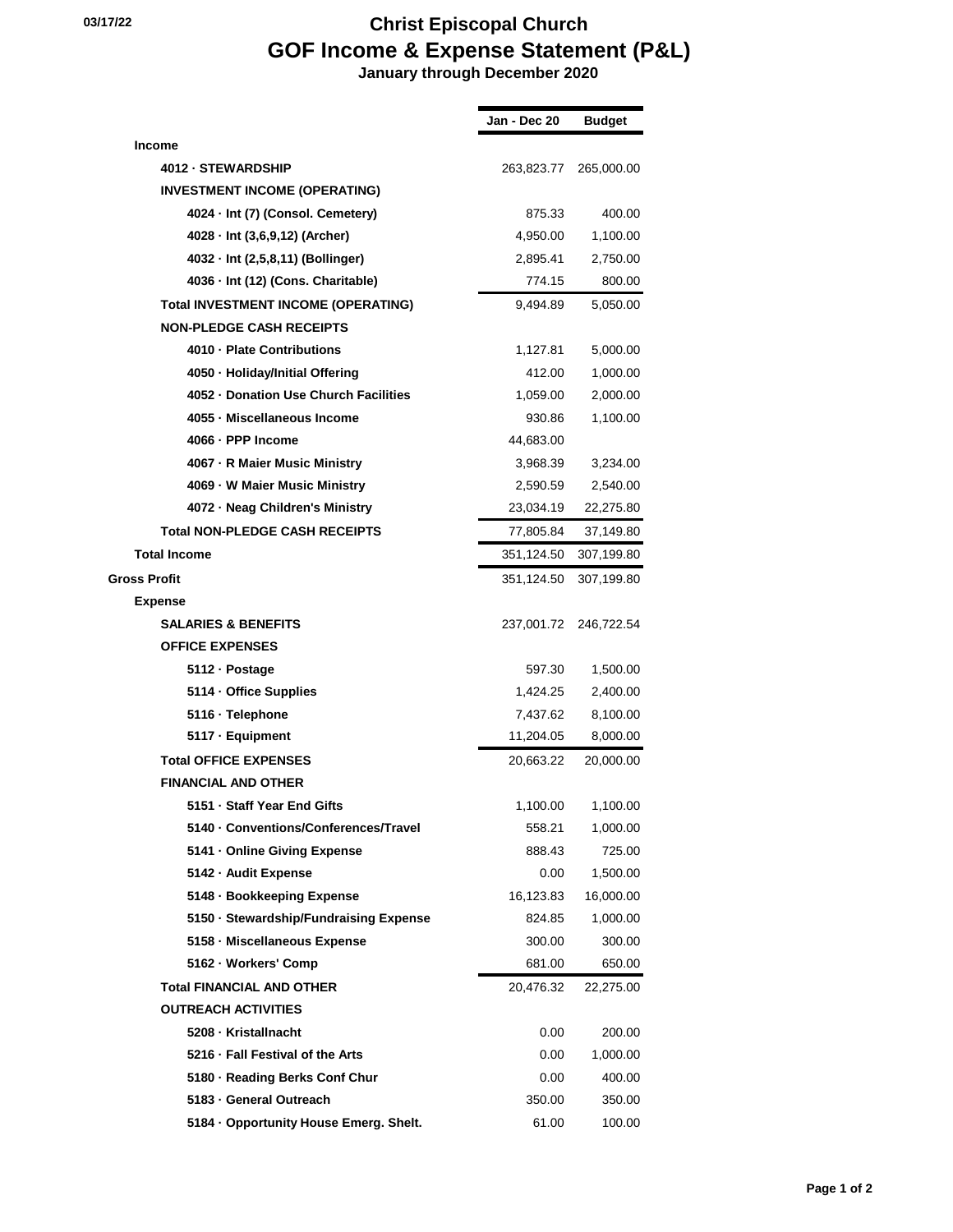|                                            | Jan - Dec 20 | <b>Budget</b> |
|--------------------------------------------|--------------|---------------|
| <b>Income</b>                              |              |               |
| 4012 - STEWARDSHIP                         | 263,823.77   | 265,000.00    |
| <b>INVESTMENT INCOME (OPERATING)</b>       |              |               |
| 4024 · Int (7) (Consol. Cemetery)          | 875.33       | 400.00        |
| 4028 · Int (3,6,9,12) (Archer)             | 4,950.00     | 1,100.00      |
| 4032 · Int (2,5,8,11) (Bollinger)          | 2,895.41     | 2,750.00      |
| 4036 - Int (12) (Cons. Charitable)         | 774.15       | 800.00        |
| <b>Total INVESTMENT INCOME (OPERATING)</b> | 9,494.89     | 5,050.00      |
| <b>NON-PLEDGE CASH RECEIPTS</b>            |              |               |
| 4010 - Plate Contributions                 | 1,127.81     | 5,000.00      |
| 4050 - Holiday/Initial Offering            | 412.00       | 1,000.00      |
| 4052 - Donation Use Church Facilities      | 1,059.00     | 2,000.00      |
| 4055 · Miscellaneous Income                | 930.86       | 1,100.00      |
| 4066 - PPP Income                          | 44,683.00    |               |
| 4067 - R Maier Music Ministry              | 3,968.39     | 3,234.00      |
| 4069 - W Maier Music Ministry              | 2,590.59     | 2,540.00      |
| 4072 - Neag Children's Ministry            | 23,034.19    | 22,275.80     |
| <b>Total NON-PLEDGE CASH RECEIPTS</b>      | 77,805.84    | 37,149.80     |
| <b>Total Income</b>                        | 351,124.50   | 307,199.80    |
| <b>Gross Profit</b>                        | 351,124.50   | 307,199.80    |
| Expense                                    |              |               |
| <b>SALARIES &amp; BENEFITS</b>             | 237,001.72   | 246,722.54    |
| <b>OFFICE EXPENSES</b>                     |              |               |
| 5112 - Postage                             | 597.30       | 1,500.00      |
| 5114 · Office Supplies                     | 1,424.25     | 2,400.00      |
| 5116 · Telephone                           | 7,437.62     | 8,100.00      |
| 5117 · Equipment                           | 11,204.05    | 8,000.00      |
| <b>Total OFFICE EXPENSES</b>               | 20,663.22    | 20,000.00     |
| <b>FINANCIAL AND OTHER</b>                 |              |               |
| 5151 - Staff Year End Gifts                | 1,100.00     | 1,100.00      |
| 5140 Conventions/Conferences/Travel        | 558.21       | 1,000.00      |
| 5141 - Online Giving Expense               | 888.43       | 725.00        |
| 5142 - Audit Expense                       | 0.00         | 1,500.00      |
| 5148 - Bookkeeping Expense                 | 16,123.83    | 16,000.00     |
| 5150 · Stewardship/Fundraising Expense     | 824.85       | 1,000.00      |
| 5158 - Miscellaneous Expense               | 300.00       | 300.00        |
| 5162 · Workers' Comp                       | 681.00       | 650.00        |
| <b>Total FINANCIAL AND OTHER</b>           | 20,476.32    | 22,275.00     |
| <b>OUTREACH ACTIVITIES</b>                 |              |               |
| 5208 - Kristallnacht                       | 0.00         | 200.00        |
| 5216 · Fall Festival of the Arts           | 0.00         | 1,000.00      |
| 5180 - Reading Berks Conf Chur             | 0.00         | 400.00        |
| 5183 - General Outreach                    | 350.00       | 350.00        |
| 5184 · Opportunity House Emerg. Shelt.     | 61.00        | 100.00        |
|                                            |              |               |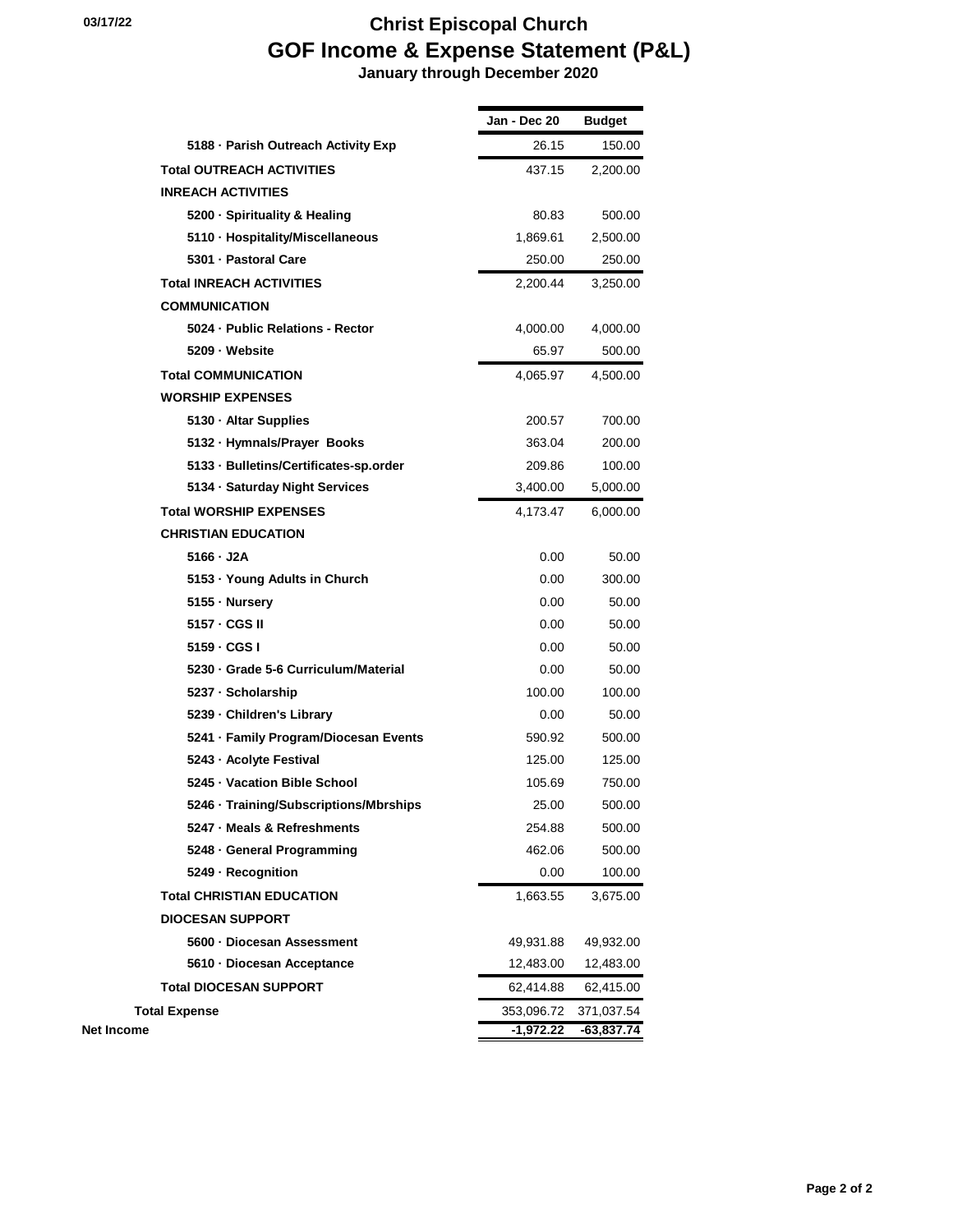|                                        | Jan - Dec 20 | Budget     |
|----------------------------------------|--------------|------------|
| 5188 - Parish Outreach Activity Exp    | 26.15        | 150.00     |
| <b>Total OUTREACH ACTIVITIES</b>       | 437.15       | 2,200.00   |
| <b>INREACH ACTIVITIES</b>              |              |            |
| 5200 · Spirituality & Healing          | 80.83        | 500.00     |
| 5110 · Hospitality/Miscellaneous       | 1,869.61     | 2,500.00   |
| 5301 - Pastoral Care                   | 250.00       | 250.00     |
| <b>Total INREACH ACTIVITIES</b>        | 2,200.44     | 3,250.00   |
| <b>COMMUNICATION</b>                   |              |            |
| 5024 - Public Relations - Rector       | 4,000.00     | 4,000.00   |
| 5209 - Website                         | 65.97        | 500.00     |
| <b>Total COMMUNICATION</b>             | 4,065.97     | 4,500.00   |
| <b>WORSHIP EXPENSES</b>                |              |            |
| 5130 · Altar Supplies                  | 200.57       | 700.00     |
| 5132 · Hymnals/Prayer Books            | 363.04       | 200.00     |
| 5133 · Bulletins/Certificates-sp.order | 209.86       | 100.00     |
| 5134 · Saturday Night Services         | 3,400.00     | 5,000.00   |
| <b>Total WORSHIP EXPENSES</b>          | 4,173.47     | 6,000.00   |
| <b>CHRISTIAN EDUCATION</b>             |              |            |
| 5166 - J2A                             | 0.00         | 50.00      |
| 5153 - Young Adults in Church          | 0.00         | 300.00     |
| 5155 - Nursery                         | 0.00         | 50.00      |
| 5157 - CGS II                          | 0.00         | 50.00      |
| 5159 - CGS I                           | 0.00         | 50.00      |
| 5230 Grade 5-6 Curriculum/Material     | 0.00         | 50.00      |
| 5237 · Scholarship                     | 100.00       | 100.00     |
| 5239 - Children's Library              | 0.00         | 50.00      |
| 5241 - Family Program/Diocesan Events  | 590.92       | 500.00     |
| 5243 - Acolyte Festival                | 125.00       | 125.00     |
| 5245 - Vacation Bible School           | 105.69       | 750.00     |
| 5246 · Training/Subscriptions/Mbrships | 25.00        | 500.00     |
| 5247 - Meals & Refreshments            | 254.88       | 500.00     |
| 5248 - General Programming             | 462.06       | 500.00     |
| 5249 - Recognition                     | 0.00         | 100.00     |
| <b>Total CHRISTIAN EDUCATION</b>       | 1,663.55     | 3,675.00   |
| <b>DIOCESAN SUPPORT</b>                |              |            |
| 5600 - Diocesan Assessment             | 49,931.88    | 49,932.00  |
| 5610 - Diocesan Acceptance             | 12,483.00    | 12,483.00  |
| <b>Total DIOCESAN SUPPORT</b>          | 62,414.88    | 62,415.00  |
| <b>Total Expense</b>                   | 353,096.72   | 371,037.54 |
| <b>Net Income</b>                      | $-1,972.22$  | -63,837.74 |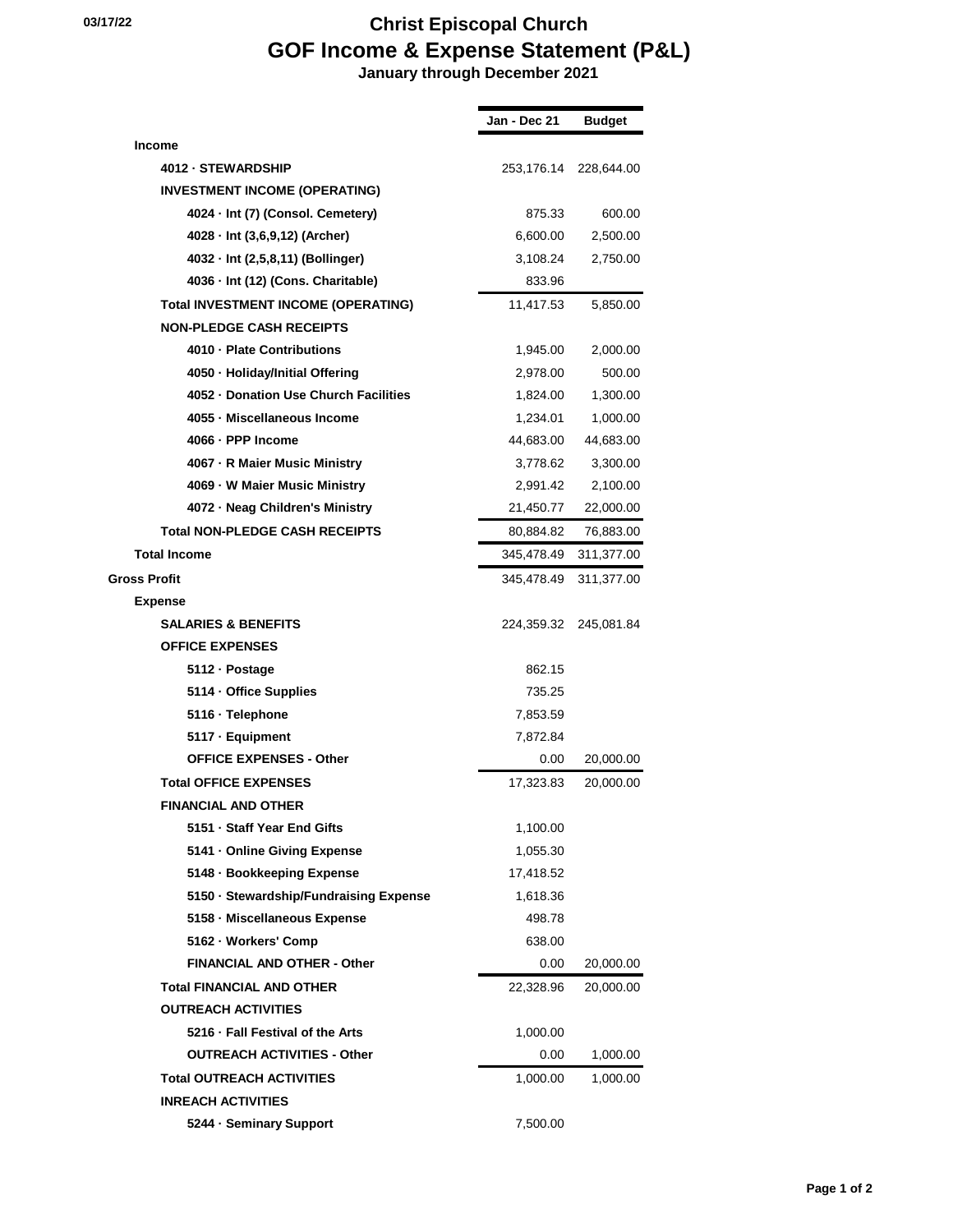| Jan - Dec 21 | <b>Budget</b> |
|--------------|---------------|
|              |               |
| 253,176.14   | 228,644.00    |
|              |               |
| 875.33       | 600.00        |
| 6,600.00     | 2,500.00      |
| 3,108.24     | 2,750.00      |
| 833.96       |               |
| 11,417.53    | 5,850.00      |
|              |               |
| 1,945.00     | 2,000.00      |
| 2,978.00     | 500.00        |
| 1,824.00     | 1,300.00      |
| 1,234.01     | 1,000.00      |
| 44,683.00    | 44,683.00     |
| 3,778.62     | 3,300.00      |
| 2,991.42     | 2,100.00      |
| 21,450.77    | 22,000.00     |
| 80,884.82    | 76,883.00     |
| 345,478.49   | 311,377.00    |
| 345,478.49   | 311,377.00    |
|              |               |
| 224,359.32   | 245,081.84    |
|              |               |
| 862.15       |               |
| 735.25       |               |
| 7,853.59     |               |
| 7,872.84     |               |
| 0.00         | 20,000.00     |
| 17,323.83    | 20,000.00     |
|              |               |
| 1,100.00     |               |
| 1,055.30     |               |
| 17,418.52    |               |
| 1,618.36     |               |
| 498.78       |               |
| 638.00       |               |
| 0.00         | 20,000.00     |
| 22,328.96    | 20,000.00     |
|              |               |
| 1,000.00     |               |
| 0.00         | 1,000.00      |
| 1,000.00     | 1,000.00      |
|              |               |
| 7,500.00     |               |
|              |               |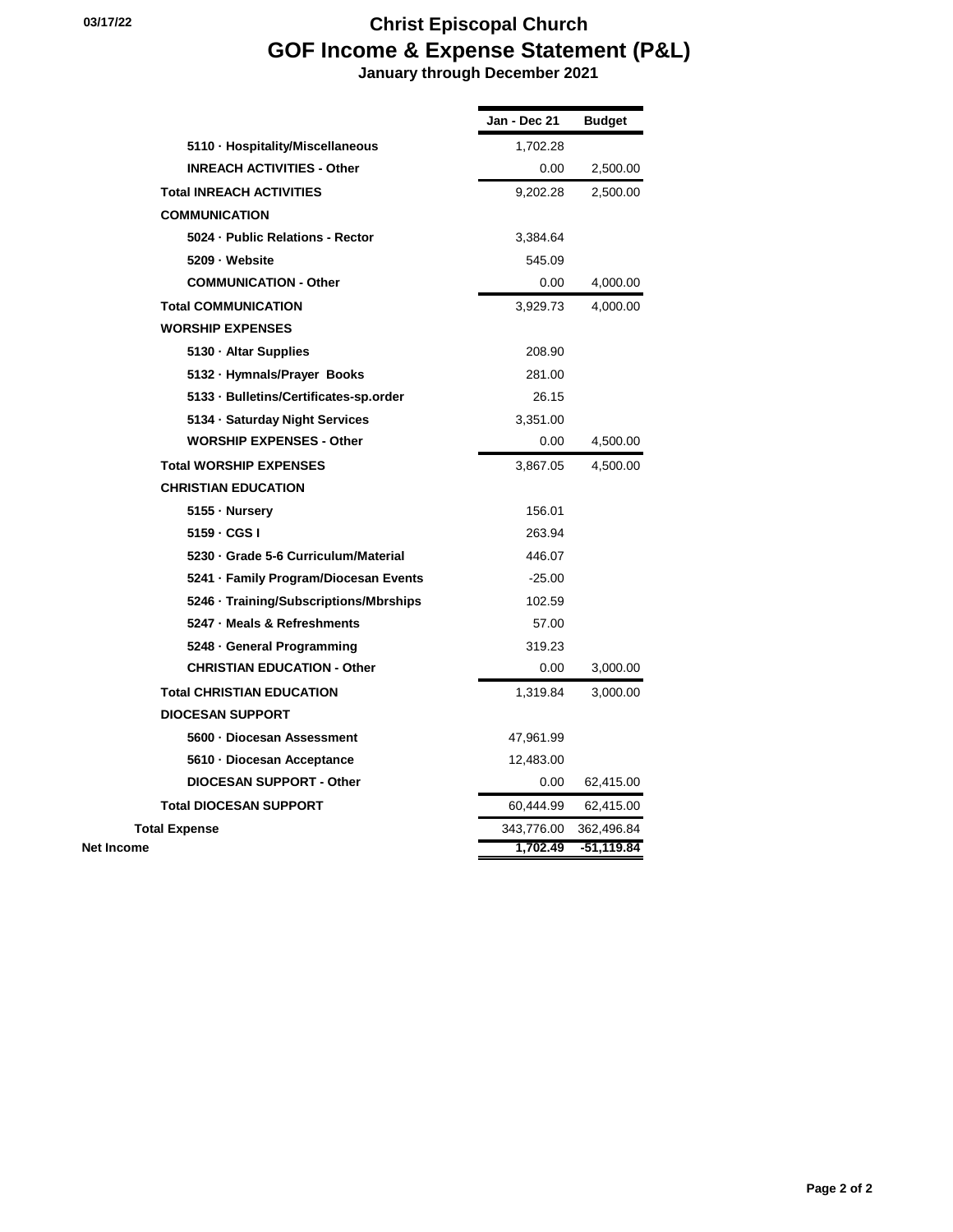|                                        | Jan - Dec 21 | <b>Budget</b> |
|----------------------------------------|--------------|---------------|
| 5110 · Hospitality/Miscellaneous       | 1,702.28     |               |
| <b>INREACH ACTIVITIES - Other</b>      | 0.00         | 2,500.00      |
| <b>Total INREACH ACTIVITIES</b>        | 9,202.28     | 2,500.00      |
| <b>COMMUNICATION</b>                   |              |               |
| 5024 - Public Relations - Rector       | 3,384.64     |               |
| 5209 - Website                         | 545.09       |               |
| <b>COMMUNICATION - Other</b>           | 0.00         | 4,000.00      |
| <b>Total COMMUNICATION</b>             | 3,929.73     | 4,000.00      |
| <b>WORSHIP EXPENSES</b>                |              |               |
| 5130 · Altar Supplies                  | 208.90       |               |
| 5132 · Hymnals/Prayer Books            | 281.00       |               |
| 5133 · Bulletins/Certificates-sp.order | 26.15        |               |
| 5134 · Saturday Night Services         | 3,351.00     |               |
| <b>WORSHIP EXPENSES - Other</b>        | 0.00         | 4,500.00      |
| <b>Total WORSHIP EXPENSES</b>          | 3,867.05     | 4,500.00      |
| <b>CHRISTIAN EDUCATION</b>             |              |               |
| 5155 - Nursery                         | 156.01       |               |
| 5159 - CGS I                           | 263.94       |               |
| 5230 · Grade 5-6 Curriculum/Material   | 446.07       |               |
| 5241 - Family Program/Diocesan Events  | $-25.00$     |               |
| 5246 · Training/Subscriptions/Mbrships | 102.59       |               |
| 5247 · Meals & Refreshments            | 57.00        |               |
| 5248 - General Programming             | 319.23       |               |
| <b>CHRISTIAN EDUCATION - Other</b>     | 0.00         | 3,000.00      |
| <b>Total CHRISTIAN EDUCATION</b>       | 1,319.84     | 3,000.00      |
| <b>DIOCESAN SUPPORT</b>                |              |               |
| 5600 - Diocesan Assessment             | 47,961.99    |               |
| 5610 - Diocesan Acceptance             | 12,483.00    |               |
| <b>DIOCESAN SUPPORT - Other</b>        | 0.00         | 62,415.00     |
| <b>Total DIOCESAN SUPPORT</b>          | 60,444.99    | 62,415.00     |
| <b>Total Expense</b>                   | 343,776.00   | 362,496.84    |
| <b>Net Income</b>                      | 1,702.49     | -51,119.84    |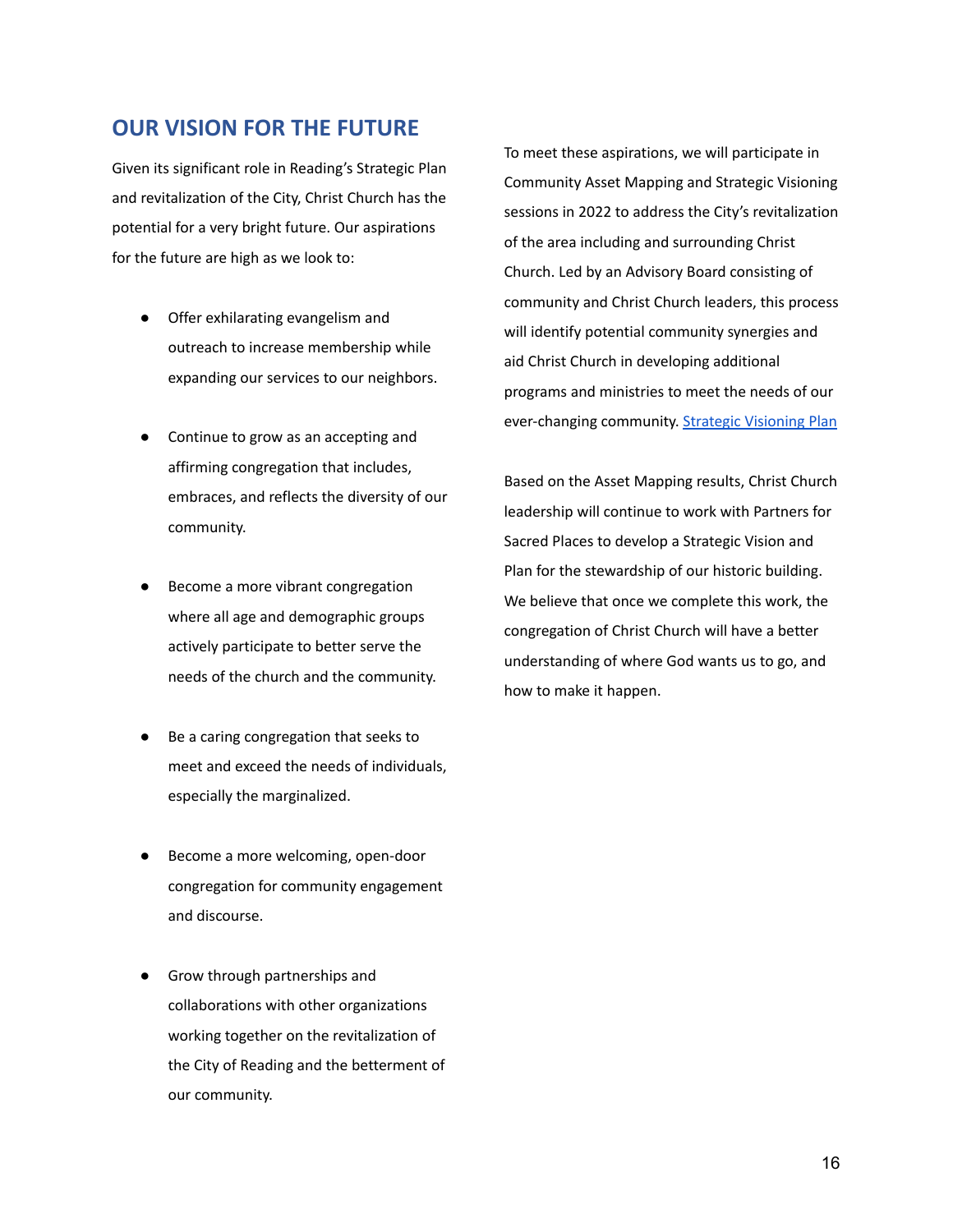#### **OUR VISION FOR THE FUTURE**

Given its significant role in Reading's Strategic Plan and revitalization of the City, Christ Church has the potential for a very bright future. Our aspirations for the future are high as we look to:

- Offer exhilarating evangelism and outreach to increase membership while expanding our services to our neighbors.
- Continue to grow as an accepting and affirming congregation that includes, embraces, and reflects the diversity of our community.
- Become a more vibrant congregation where all age and demographic groups actively participate to better serve the needs of the church and the community.
- Be a caring congregation that seeks to meet and exceed the needs of individuals, especially the marginalized.
- Become a more welcoming, open-door congregation for community engagement and discourse.
- Grow through partnerships and collaborations with other organizations working together on the revitalization of the City of Reading and the betterment of our community.

To meet these aspirations, we will participate in Community Asset Mapping and Strategic Visioning sessions in 2022 to address the City's revitalization of the area including and surrounding Christ Church. Led by an Advisory Board consisting of community and Christ Church leaders, this process will identify potential community synergies and aid Christ Church in developing additional programs and ministries to meet the needs of our ever-changing community. [Strategic Visioning Plan](https://drive.google.com/file/d/1Qjx8GjP4yFM-0L51RoVQps89pL2kkc_f/view?usp=sharing)

Based on the Asset Mapping results, Christ Church leadership will continue to work with Partners for Sacred Places to develop a Strategic Vision and Plan for the stewardship of our historic building. We believe that once we complete this work, the congregation of Christ Church will have a better understanding of where God wants us to go, and how to make it happen.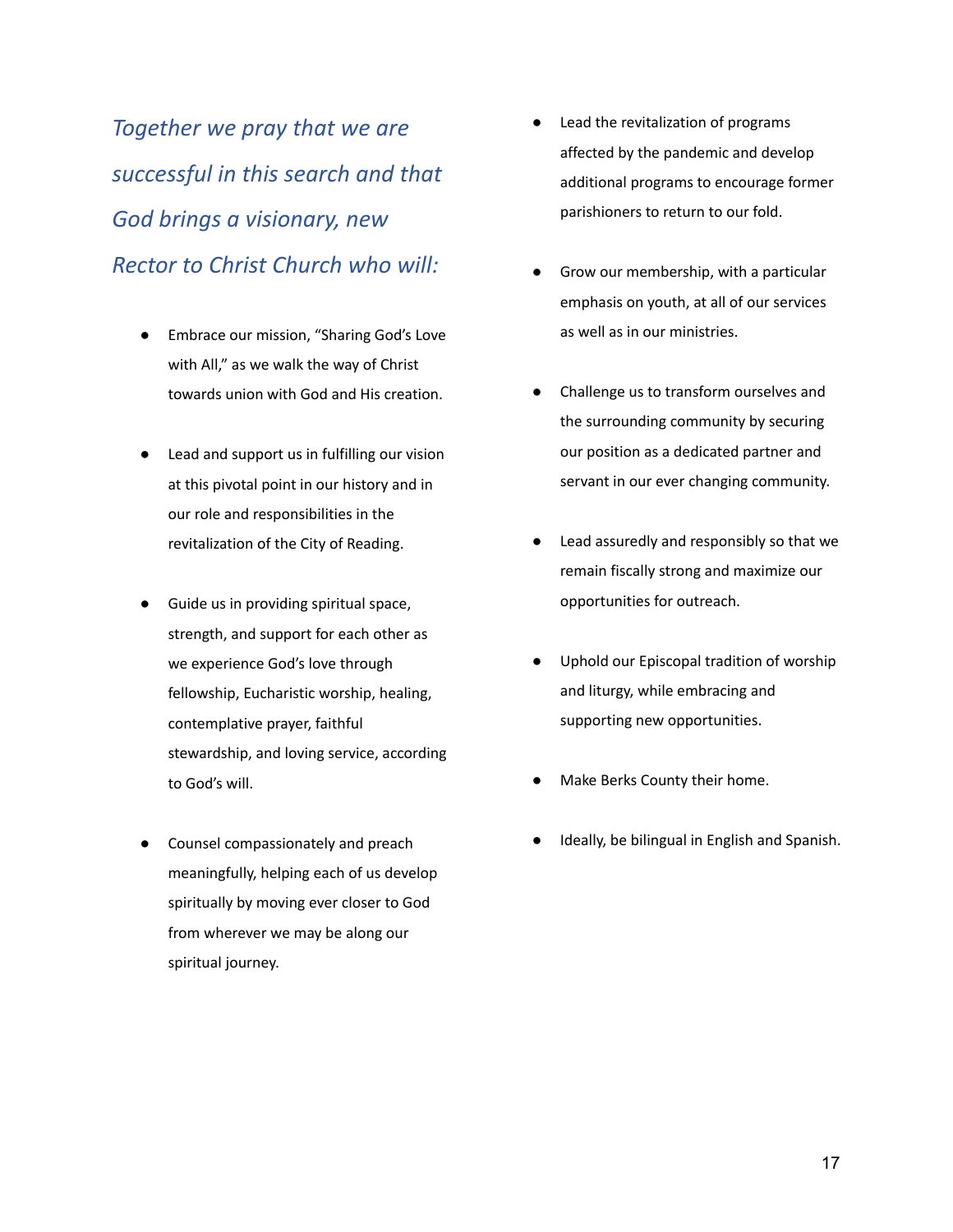*Together we pray that we are successful in this search and that God brings a visionary, new Rector to Christ Church who will:*

- Embrace our mission, "Sharing God's Love with All," as we walk the way of Christ towards union with God and His creation.
- Lead and support us in fulfilling our vision at this pivotal point in our history and in our role and responsibilities in the revitalization of the City of Reading.
- Guide us in providing spiritual space, strength, and support for each other as we experience God's love through fellowship, Eucharistic worship, healing, contemplative prayer, faithful stewardship, and loving service, according to God's will.
- Counsel compassionately and preach meaningfully, helping each of us develop spiritually by moving ever closer to God from wherever we may be along our spiritual journey.
- Lead the revitalization of programs affected by the pandemic and develop additional programs to encourage former parishioners to return to our fold.
- Grow our membership, with a particular emphasis on youth, at all of our services as well as in our ministries.
- Challenge us to transform ourselves and the surrounding community by securing our position as a dedicated partner and servant in our ever changing community.
- Lead assuredly and responsibly so that we remain fiscally strong and maximize our opportunities for outreach.
- Uphold our Episcopal tradition of worship and liturgy, while embracing and supporting new opportunities.
- Make Berks County their home.
- Ideally, be bilingual in English and Spanish.